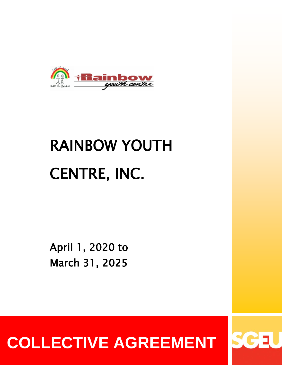

# RAINBOW YOUTH CENTRE, INC.

April 1, 2020 to March 31, 2025

**COLLECTIVE AGREEMENT**

SG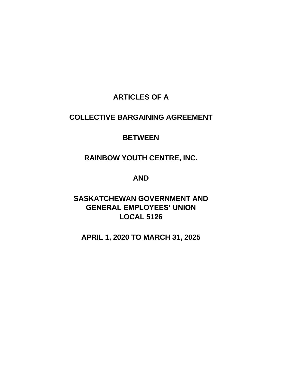# **ARTICLES OF A**

# **COLLECTIVE BARGAINING AGREEMENT**

# **BETWEEN**

# **RAINBOW YOUTH CENTRE, INC.**

# **AND**

# **SASKATCHEWAN GOVERNMENT AND GENERAL EMPLOYEES' UNION LOCAL 5126**

# **APRIL 1, 2020 TO MARCH 31, 2025**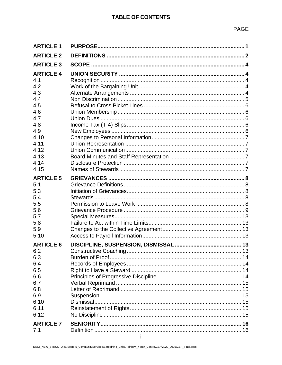| <b>ARTICLE 1</b> |  |
|------------------|--|
| <b>ARTICLE 2</b> |  |
| <b>ARTICLE 3</b> |  |
| <b>ARTICLE 4</b> |  |
| 4.1              |  |
| 4.2              |  |
| 4.3              |  |
| 4.4              |  |
| 4.5              |  |
| 4.6              |  |
| 4.7              |  |
| 4.8              |  |
| 4.9              |  |
| 4.10             |  |
| 4.11             |  |
| 4.12             |  |
| 4.13             |  |
| 4.14             |  |
| 4.15             |  |
| <b>ARTICLE 5</b> |  |
| 5.1              |  |
| 5.3              |  |
| 5.4              |  |
| 5.5              |  |
| 5.6              |  |
| 5.7              |  |
| 5.8              |  |
| 5.9              |  |
| 5.10             |  |
| <b>ARTICLE 6</b> |  |
| 6.2              |  |
| 6.3              |  |
| 6.4              |  |
| 6.5              |  |
| 6.6              |  |
| 6.7              |  |
| 6.8              |  |
| 6.9              |  |
| 6.10             |  |
| 6.11             |  |
|                  |  |
| 6.12             |  |
| <b>ARTICLE 7</b> |  |
| 7.1              |  |
|                  |  |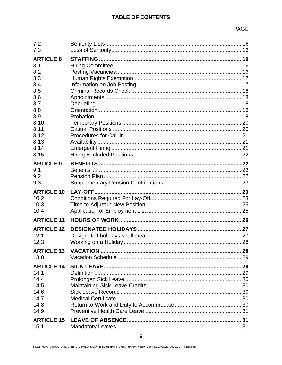| 7.2                       |                |  |
|---------------------------|----------------|--|
| 7.3                       |                |  |
| <b>ARTICLE 8</b>          |                |  |
| 8.1                       |                |  |
| 8.2                       |                |  |
| 8.3                       |                |  |
| 8.4                       |                |  |
| 8.5                       |                |  |
| 8.6                       |                |  |
| 8.7                       |                |  |
| 8.8                       |                |  |
| 8.9                       |                |  |
| 8.10                      |                |  |
| 8.11                      |                |  |
| 8.12                      |                |  |
| 8.13                      |                |  |
| 8.14                      |                |  |
| 8.15                      |                |  |
| <b>ARTICLE 9</b>          |                |  |
| 9.1                       |                |  |
| 9.2                       |                |  |
| 9.3                       |                |  |
|                           |                |  |
|                           |                |  |
| <b>ARTICLE 10</b>         | <b>LAY-OFF</b> |  |
| 10.2                      |                |  |
| 10.3<br>10.4              |                |  |
|                           |                |  |
| <b>ARTICLE 11</b>         |                |  |
| <b>ARTICLE 12</b>         |                |  |
| 12.1                      |                |  |
| 12.3                      |                |  |
| <b>ARTICLE 13</b>         |                |  |
| 13.8                      |                |  |
|                           |                |  |
| <b>ARTICLE 14</b>         |                |  |
| 14.1                      |                |  |
| 14.4                      |                |  |
| 14.5<br>14.6              |                |  |
| 14.7                      |                |  |
| 14.8                      |                |  |
| 14.9                      |                |  |
|                           |                |  |
| <b>ARTICLE 15</b><br>15.1 |                |  |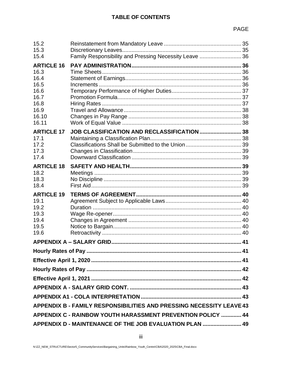| 15.2<br>15.3<br>15.4                                                                        | Family Responsibility and Pressing Necessity Leave  36  |  |  |  |
|---------------------------------------------------------------------------------------------|---------------------------------------------------------|--|--|--|
| <b>ARTICLE 16</b><br>16.3<br>16.4<br>16.5<br>16.6<br>16.7<br>16.8<br>16.9<br>16.10<br>16.11 |                                                         |  |  |  |
| <b>ARTICLE 17</b><br>17.1<br>17.2<br>17.3<br>17.4                                           | JOB CLASSIFICATION AND RECLASSIFICATION  38             |  |  |  |
| <b>ARTICLE 18</b><br>18.2<br>18.3<br>18.4                                                   |                                                         |  |  |  |
| <b>ARTICLE 19</b><br>19.1<br>19.2<br>19.3<br>19.4<br>19.5<br>19.6                           |                                                         |  |  |  |
|                                                                                             |                                                         |  |  |  |
|                                                                                             |                                                         |  |  |  |
|                                                                                             |                                                         |  |  |  |
|                                                                                             |                                                         |  |  |  |
|                                                                                             |                                                         |  |  |  |
|                                                                                             |                                                         |  |  |  |
|                                                                                             |                                                         |  |  |  |
| <b>APPENDIX B - FAMILY RESPONSIBILITIES AND PRESSING NECESSITY LEAVE 43</b>                 |                                                         |  |  |  |
| APPENDIX C - RAINBOW YOUTH HARASSMENT PREVENTION POLICY  44                                 |                                                         |  |  |  |
|                                                                                             | APPENDIX D - MAINTENANCE OF THE JOB EVALUATION PLAN  49 |  |  |  |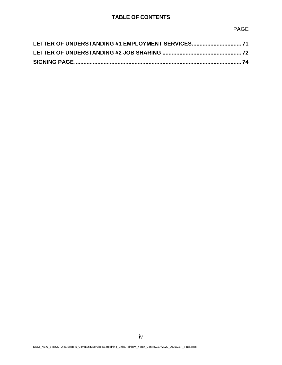# **TABLE OF CONTENTS**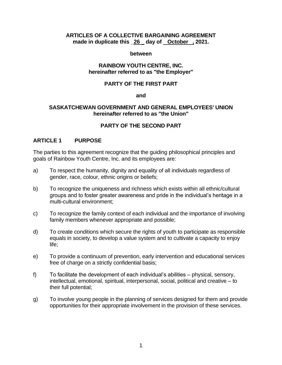#### **ARTICLES OF A COLLECTIVE BARGAINING AGREEMENT made in duplicate this \_26 \_ day of October , 2021.**

#### **between**

#### **RAINBOW YOUTH CENTRE, INC. hereinafter referred to as "the Employer"**

## **PARTY OF THE FIRST PART**

#### **and**

#### **SASKATCHEWAN GOVERNMENT AND GENERAL EMPLOYEES' UNION hereinafter referred to as "the Union"**

## **PARTY OF THE SECOND PART**

## <span id="page-7-0"></span>**ARTICLE 1 PURPOSE**

The parties to this agreement recognize that the guiding philosophical principles and goals of Rainbow Youth Centre, Inc. and its employees are:

- a) To respect the humanity, dignity and equality of all individuals regardless of gender, race, colour, ethnic origins or beliefs;
- b) To recognize the uniqueness and richness which exists within all ethnic/cultural groups and to foster greater awareness and pride in the individual's heritage in a multi-cultural environment;
- c) To recognize the family context of each individual and the importance of involving family members whenever appropriate and possible;
- d) To create conditions which secure the rights of youth to participate as responsible equals in society, to develop a value system and to cultivate a capacity to enjoy life;
- e) To provide a continuum of prevention, early intervention and educational services free of charge on a strictly confidential basis;
- f) To facilitate the development of each individual's abilities physical, sensory, intellectual, emotional, spiritual, interpersonal, social, political and creative – to their full potential;
- g) To involve young people in the planning of services designed for them and provide opportunities for their appropriate involvement in the provision of these services.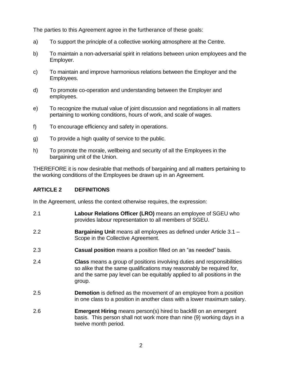The parties to this Agreement agree in the furtherance of these goals:

- a) To support the principle of a collective working atmosphere at the Centre.
- b) To maintain a non-adversarial spirit in relations between union employees and the Employer.
- c) To maintain and improve harmonious relations between the Employer and the Employees.
- d) To promote co-operation and understanding between the Employer and employees.
- e) To recognize the mutual value of joint discussion and negotiations in all matters pertaining to working conditions, hours of work, and scale of wages.
- f) To encourage efficiency and safety in operations.
- g) To provide a high quality of service to the public.
- h) To promote the morale, wellbeing and security of all the Employees in the bargaining unit of the Union.

THEREFORE it is now desirable that methods of bargaining and all matters pertaining to the working conditions of the Employees be drawn up in an Agreement.

# <span id="page-8-0"></span>**ARTICLE 2 DEFINITIONS**

In the Agreement, unless the context otherwise requires, the expression:

- 2.1 **Labour Relations Officer (LRO)** means an employee of SGEU who provides labour representation to all members of SGEU.
- 2.2 **Bargaining Unit** means all employees as defined under Article 3.1 Scope in the Collective Agreement.
- 2.3 **Casual position** means a position filled on an "as needed" basis.
- 2.4 **Class** means a group of positions involving duties and responsibilities so alike that the same qualifications may reasonably be required for, and the same pay level can be equitably applied to all positions in the group.
- 2.5 **Demotion** is defined as the movement of an employee from a position in one class to a position in another class with a lower maximum salary.
- 2.6 **Emergent Hiring** means person(s) hired to backfill on an emergent basis. This person shall not work more than nine (9) working days in a twelve month period.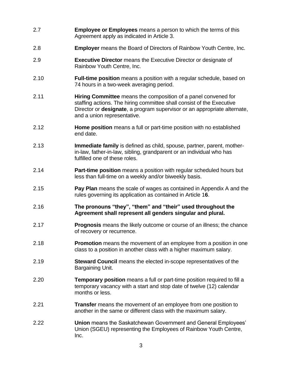- 2.7 **Employee or Employees** means a person to which the terms of this Agreement apply as indicated in Article 3.
- 2.8 **Employer** means the Board of Directors of Rainbow Youth Centre, Inc.
- 2.9 **Executive Director** means the Executive Director or designate of Rainbow Youth Centre, Inc.
- 2.10 **Full-time position** means a position with a regular schedule, based on 74 hours in a two-week averaging period.
- 2.11 **Hiring Committee** means the composition of a panel convened for staffing actions. The hiring committee shall consist of the Executive Director or **designate**, a program supervisor or an appropriate alternate, and a union representative.
- 2.12 **Home position** means a full or part-time position with no established end date.
- 2.13 **Immediate family** is defined as child, spouse, partner, parent, motherin-law, father-in-law, sibling, grandparent or an individual who has fulfilled one of these roles.
- 2.14 **Part-time position** means a position with regular scheduled hours but less than full-time on a weekly and/or biweekly basis.
- 2.15 **Pay Plan** means the scale of wages as contained in Appendix A and the rules governing its application as contained in Article 1**6**.
- 2.16 **The pronouns "they", "them" and "their" used throughout the Agreement shall represent all genders singular and plural.**
- 2.17 **Prognosis** means the likely outcome or course of an illness; the chance of recovery or recurrence.
- 2.18 **Promotion** means the movement of an employee from a position in one class to a position in another class with a higher maximum salary.
- 2.19 **Steward Council** means the elected in-scope representatives of the Bargaining Unit.
- 2.20 **Temporary position** means a full or part-time position required to fill a temporary vacancy with a start and stop date of twelve (12) calendar months or less.
- 2.21 **Transfer** means the movement of an employee from one position to another in the same or different class with the maximum salary.
- 2.22 **Union** means the Saskatchewan Government and General Employees' Union (SGEU) representing the Employees of Rainbow Youth Centre, Inc.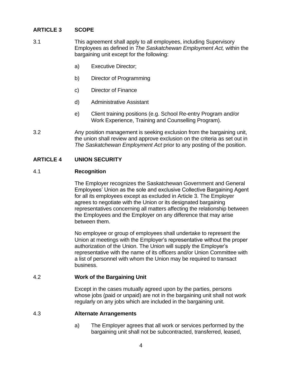# <span id="page-10-0"></span>**ARTICLE 3 SCOPE**

- 3.1 This agreement shall apply to all employees, including Supervisory Employees as defined in *The Saskatchewan Employment Act,* within the bargaining unit except for the following:
	- a) Executive Director;
	- b) Director of Programming
	- c) Director of Finance
	- d) Administrative Assistant
	- e) Client training positions (e.g. School Re-entry Program and/or Work Experience, Training and Counselling Program).
- 3.2 Any position management is seeking exclusion from the bargaining unit, the union shall review and approve exclusion on the criteria as set out in *The Saskatchewan Employment Act* prior to any posting of the position.

# <span id="page-10-1"></span>**ARTICLE 4 UNION SECURITY**

# <span id="page-10-2"></span>4.1 **Recognition**

The Employer recognizes the Saskatchewan Government and General Employees' Union as the sole and exclusive Collective Bargaining Agent for all its employees except as excluded in Article 3. The Employer agrees to negotiate with the Union or its designated bargaining representatives concerning all matters affecting the relationship between the Employees and the Employer on any difference that may arise between them.

No employee or group of employees shall undertake to represent the Union at meetings with the Employer's representative without the proper authorization of the Union. The Union will supply the Employer's representative with the name of its officers and/or Union Committee with a list of personnel with whom the Union may be required to transact business.

## <span id="page-10-3"></span>4.2 **Work of the Bargaining Unit**

Except in the cases mutually agreed upon by the parties, persons whose jobs (paid or unpaid) are not in the bargaining unit shall not work regularly on any jobs which are included in the bargaining unit.

## <span id="page-10-4"></span>4.3 **Alternate Arrangements**

a) The Employer agrees that all work or services performed by the bargaining unit shall not be subcontracted, transferred, leased,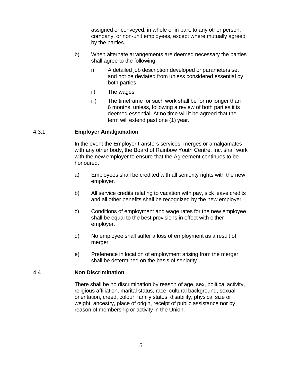assigned or conveyed, in whole or in part, to any other person, company, or non-unit employees, except where mutually agreed by the parties.

- b) When alternate arrangements are deemed necessary the parties shall agree to the following:
	- i) A detailed job description developed or parameters set and not be deviated from unless considered essential by both parties
	- ii) The wages
	- iii) The timeframe for such work shall be for no longer than 6 months, unless, following a review of both parties it is deemed essential. At no time will it be agreed that the term will extend past one (1) year.

## 4.3.1 **Employer Amalgamation**

In the event the Employer transfers services, merges or amalgamates with any other body, the Board of Rainbow Youth Centre, Inc. shall work with the new employer to ensure that the Agreement continues to be honoured.

- a) Employees shall be credited with all seniority rights with the new employer.
- b) All service credits relating to vacation with pay, sick leave credits and all other benefits shall be recognized by the new employer.
- c) Conditions of employment and wage rates for the new employee shall be equal to the best provisions in effect with either employer.
- d) No employee shall suffer a loss of employment as a result of merger.
- e) Preference in location of employment arising from the merger shall be determined on the basis of seniority.

## <span id="page-11-0"></span>4.4 **Non Discrimination**

There shall be no discrimination by reason of age, sex, political activity, religious affiliation, marital status, race, cultural background, sexual orientation, creed, colour, family status, disability, physical size or weight, ancestry, place of origin, receipt of public assistance nor by reason of membership or activity in the Union.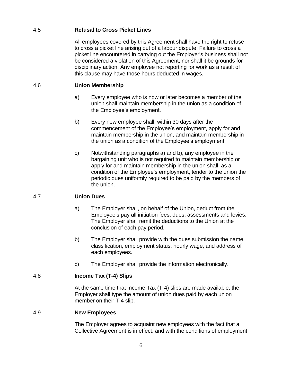# <span id="page-12-0"></span>4.5 **Refusal to Cross Picket Lines**

All employees covered by this Agreement shall have the right to refuse to cross a picket line arising out of a labour dispute. Failure to cross a picket line encountered in carrying out the Employer's business shall not be considered a violation of this Agreement, nor shall it be grounds for disciplinary action. Any employee not reporting for work as a result of this clause may have those hours deducted in wages.

# <span id="page-12-1"></span>4.6 **Union Membership**

- a) Every employee who is now or later becomes a member of the union shall maintain membership in the union as a condition of the Employee's employment.
- b) Every new employee shall, within 30 days after the commencement of the Employee's employment, apply for and maintain membership in the union, and maintain membership in the union as a condition of the Employee's employment.
- c) Notwithstanding paragraphs a) and b), any employee in the bargaining unit who is not required to maintain membership or apply for and maintain membership in the union shall, as a condition of the Employee's employment, tender to the union the periodic dues uniformly required to be paid by the members of the union.

# <span id="page-12-2"></span>4.7 **Union Dues**

- a) The Employer shall, on behalf of the Union, deduct from the Employee's pay all initiation fees, dues, assessments and levies. The Employer shall remit the deductions to the Union at the conclusion of each pay period.
- b) The Employer shall provide with the dues submission the name, classification, employment status, hourly wage, and address of each employees.
- c) The Employer shall provide the information electronically.

# <span id="page-12-3"></span>4.8 **Income Tax (T-4) Slips**

At the same time that Income Tax (T-4) slips are made available, the Employer shall type the amount of union dues paid by each union member on their T-4 slip.

## <span id="page-12-4"></span>4.9 **New Employees**

The Employer agrees to acquaint new employees with the fact that a Collective Agreement is in effect, and with the conditions of employment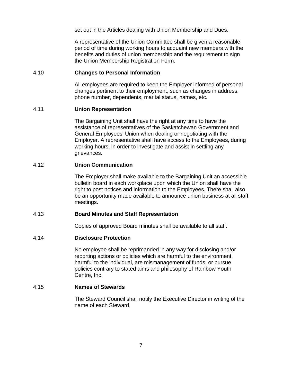set out in the Articles dealing with Union Membership and Dues.

A representative of the Union Committee shall be given a reasonable period of time during working hours to acquaint new members with the benefits and duties of union membership and the requirement to sign the Union Membership Registration Form.

#### <span id="page-13-0"></span>4.10 **Changes to Personal Information**

All employees are required to keep the Employer informed of personal changes pertinent to their employment, such as changes in address, phone number, dependents, marital status, names, etc.

#### <span id="page-13-1"></span>4.11 **Union Representation**

The Bargaining Unit shall have the right at any time to have the assistance of representatives of the Saskatchewan Government and General Employees' Union when dealing or negotiating with the Employer. A representative shall have access to the Employees, during working hours, in order to investigate and assist in settling any grievances.

#### <span id="page-13-2"></span>4.12 **Union Communication**

The Employer shall make available to the Bargaining Unit an accessible bulletin board in each workplace upon which the Union shall have the right to post notices and information to the Employees. There shall also be an opportunity made available to announce union business at all staff meetings.

#### <span id="page-13-3"></span>4.13 **Board Minutes and Staff Representation**

Copies of approved Board minutes shall be available to all staff.

#### <span id="page-13-4"></span>4.14 **Disclosure Protection**

No employee shall be reprimanded in any way for disclosing and/or reporting actions or policies which are harmful to the environment, harmful to the individual, are mismanagement of funds, or pursue policies contrary to stated aims and philosophy of Rainbow Youth Centre, Inc.

#### <span id="page-13-5"></span>4.15 **Names of Stewards**

The Steward Council shall notify the Executive Director in writing of the name of each Steward.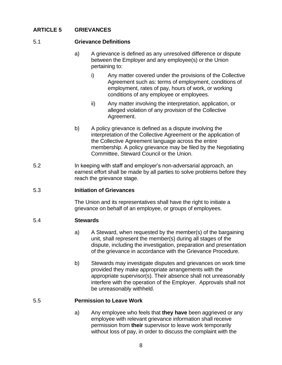# <span id="page-14-0"></span>**ARTICLE 5 GRIEVANCES**

## <span id="page-14-1"></span>5.1 **Grievance Definitions**

- a) A grievance is defined as any unresolved difference or dispute between the Employer and any employee(s) or the Union pertaining to:
	- i) Any matter covered under the provisions of the Collective Agreement such as: terms of employment, conditions of employment, rates of pay, hours of work, or working conditions of any employee or employees.
	- ii) Any matter involving the interpretation, application, or alleged violation of any provision of the Collective Agreement.
- b) A policy grievance is defined as a dispute involving the interpretation of the Collective Agreement or the application of the Collective Agreement language across the entire membership. A policy grievance may be filed by the Negotiating Committee, Steward Council or the Union.
- 5.2 In keeping with staff and employer's non-adversarial approach, an earnest effort shall be made by all parties to solve problems before they reach the grievance stage.

## <span id="page-14-2"></span>5.3 **Initiation of Grievances**

The Union and its representatives shall have the right to initiate a grievance on behalf of an employee, or groups of employees.

## <span id="page-14-3"></span>5.4 **Stewards**

- a) A Steward, when requested by the member(s) of the bargaining unit, shall represent the member(s) during all stages of the dispute, including the investigation, preparation and presentation of the grievance in accordance with the Grievance Procedure.
- b) Stewards may investigate disputes and grievances on work time provided they make appropriate arrangements with the appropriate supervisor(s). Their absence shall not unreasonably interfere with the operation of the Employer. Approvals shall not be unreasonably withheld.

# <span id="page-14-4"></span>5.5 **Permission to Leave Work**

a) Any employee who feels that **they have** been aggrieved or any employee with relevant grievance information shall receive permission from **their** supervisor to leave work temporarily without loss of pay, in order to discuss the complaint with the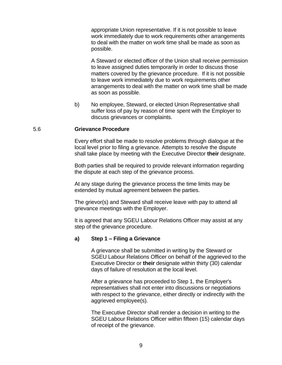appropriate Union representative. If it is not possible to leave work immediately due to work requirements other arrangements to deal with the matter on work time shall be made as soon as possible.

A Steward or elected officer of the Union shall receive permission to leave assigned duties temporarily in order to discuss those matters covered by the grievance procedure. If it is not possible to leave work immediately due to work requirements other arrangements to deal with the matter on work time shall be made as soon as possible.

b) No employee, Steward, or elected Union Representative shall suffer loss of pay by reason of time spent with the Employer to discuss grievances or complaints.

#### <span id="page-15-0"></span>5.6 **Grievance Procedure**

Every effort shall be made to resolve problems through dialogue at the local level prior to filing a grievance. Attempts to resolve the dispute shall take place by meeting with the Executive Director **their** designate.

Both parties shall be required to provide relevant information regarding the dispute at each step of the grievance process.

At any stage during the grievance process the time limits may be extended by mutual agreement between the parties.

The grievor(s) and Steward shall receive leave with pay to attend all grievance meetings with the Employer.

It is agreed that any SGEU Labour Relations Officer may assist at any step of the grievance procedure.

#### **a) Step 1 – Filing a Grievance**

A grievance shall be submitted in writing by the Steward or SGEU Labour Relations Officer on behalf of the aggrieved to the Executive Director or **their** designate within thirty (30) calendar days of failure of resolution at the local level.

After a grievance has proceeded to Step 1, the Employer's representatives shall not enter into discussions or negotiations with respect to the grievance, either directly or indirectly with the aggrieved employee(s).

The Executive Director shall render a decision in writing to the SGEU Labour Relations Officer within fifteen (15) calendar days of receipt of the grievance.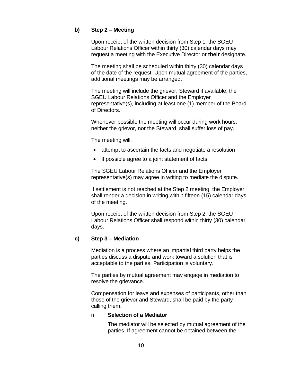# **b) Step 2 – Meeting**

Upon receipt of the written decision from Step 1, the SGEU Labour Relations Officer within thirty (30) calendar days may request a meeting with the Executive Director or **their** designate.

The meeting shall be scheduled within thirty (30) calendar days of the date of the request. Upon mutual agreement of the parties, additional meetings may be arranged.

The meeting will include the grievor, Steward if available, the SGEU Labour Relations Officer and the Employer representative(s), including at least one (1) member of the Board of Directors.

Whenever possible the meeting will occur during work hours; neither the grievor, nor the Steward, shall suffer loss of pay.

The meeting will:

- attempt to ascertain the facts and negotiate a resolution
- if possible agree to a joint statement of facts

The SGEU Labour Relations Officer and the Employer representative(s) may agree in writing to mediate the dispute.

If settlement is not reached at the Step 2 meeting, the Employer shall render a decision in writing within fifteen (15) calendar days of the meeting.

Upon receipt of the written decision from Step 2, the SGEU Labour Relations Officer shall respond within thirty (30) calendar days.

## **c) Step 3 – Mediation**

Mediation is a process where an impartial third party helps the parties discuss a dispute and work toward a solution that is acceptable to the parties. Participation is voluntary.

The parties by mutual agreement may engage in mediation to resolve the grievance.

Compensation for leave and expenses of participants, other than those of the grievor and Steward, shall be paid by the party calling them.

## i) **Selection of a Mediator**

The mediator will be selected by mutual agreement of the parties. If agreement cannot be obtained between the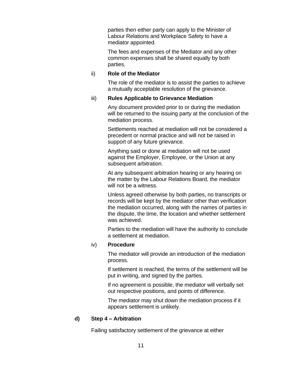parties then either party can apply to the Minister of Labour Relations and Workplace Safety to have a mediator appointed.

The fees and expenses of the Mediator and any other common expenses shall be shared equally by both parties.

#### ii) **Role of the Mediator**

The role of the mediator is to assist the parties to achieve a mutually acceptable resolution of the grievance.

#### iii) **Rules Applicable to Grievance Mediation**

Any document provided prior to or during the mediation will be returned to the issuing party at the conclusion of the mediation process.

Settlements reached at mediation will not be considered a precedent or normal practice and will not be raised in support of any future grievance.

Anything said or done at mediation will not be used against the Employer, Employee, or the Union at any subsequent arbitration.

At any subsequent arbitration hearing or any hearing on the matter by the Labour Relations Board, the mediator will not be a witness.

Unless agreed otherwise by both parties, no transcripts or records will be kept by the mediator other than verification the mediation occurred, along with the names of parties in the dispute, the time, the location and whether settlement was achieved.

Parties to the mediation will have the authority to conclude a settlement at mediation.

#### iv) **Procedure**

The mediator will provide an introduction of the mediation process.

If settlement is reached, the terms of the settlement will be put in writing, and signed by the parties.

If no agreement is possible, the mediator will verbally set out respective positions, and points of difference.

The mediator may shut down the mediation process if it appears settlement is unlikely.

## **d) Step 4 – Arbitration**

Failing satisfactory settlement of the grievance at either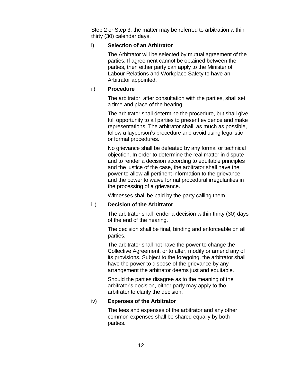Step 2 or Step 3, the matter may be referred to arbitration within thirty (30) calendar days.

## i) **Selection of an Arbitrator**

The Arbitrator will be selected by mutual agreement of the parties. If agreement cannot be obtained between the parties, then either party can apply to the Minister of Labour Relations and Workplace Safety to have an Arbitrator appointed.

# ii) **Procedure**

The arbitrator, after consultation with the parties, shall set a time and place of the hearing.

The arbitrator shall determine the procedure, but shall give full opportunity to all parties to present evidence and make representations. The arbitrator shall, as much as possible, follow a layperson's procedure and avoid using legalistic or formal procedures.

No grievance shall be defeated by any formal or technical objection. In order to determine the real matter in dispute and to render a decision according to equitable principles and the justice of the case, the arbitrator shall have the power to allow all pertinent information to the grievance and the power to waive formal procedural irregularities in the processing of a grievance.

Witnesses shall be paid by the party calling them.

# iii) **Decision of the Arbitrator**

The arbitrator shall render a decision within thirty (30) days of the end of the hearing.

The decision shall be final, binding and enforceable on all parties.

The arbitrator shall not have the power to change the Collective Agreement, or to alter, modify or amend any of its provisions. Subject to the foregoing, the arbitrator shall have the power to dispose of the grievance by any arrangement the arbitrator deems just and equitable.

Should the parties disagree as to the meaning of the arbitrator's decision, either party may apply to the arbitrator to clarify the decision.

# iv) **Expenses of the Arbitrator**

The fees and expenses of the arbitrator and any other common expenses shall be shared equally by both parties.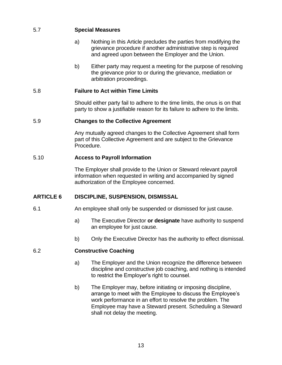# <span id="page-19-0"></span>5.7 **Special Measures**

- a) Nothing in this Article precludes the parties from modifying the grievance procedure if another administrative step is required and agreed upon between the Employer and the Union.
- b) Either party may request a meeting for the purpose of resolving the grievance prior to or during the grievance, mediation or arbitration proceedings.

# <span id="page-19-1"></span>5.8 **Failure to Act within Time Limits**

Should either party fail to adhere to the time limits, the onus is on that party to show a justifiable reason for its failure to adhere to the limits.

# <span id="page-19-2"></span>5.9 **Changes to the Collective Agreement**

Any mutually agreed changes to the Collective Agreement shall form part of this Collective Agreement and are subject to the Grievance Procedure.

# <span id="page-19-3"></span>5.10 **Access to Payroll Information**

The Employer shall provide to the Union or Steward relevant payroll information when requested in writing and accompanied by signed authorization of the Employee concerned.

# <span id="page-19-4"></span>**ARTICLE 6 DISCIPLINE, SUSPENSION, DISMISSAL**

- 6.1 An employee shall only be suspended or dismissed for just cause.
	- a) The Executive Director **or designate** have authority to suspend an employee for just cause.
	- b) Only the Executive Director has the authority to effect dismissal.

## <span id="page-19-5"></span>6.2 **Constructive Coaching**

- a) The Employer and the Union recognize the difference between discipline and constructive job coaching, and nothing is intended to restrict the Employer's right to counsel.
- b) The Employer may, before initiating or imposing discipline, arrange to meet with the Employee to discuss the Employee's work performance in an effort to resolve the problem. The Employee may have a Steward present. Scheduling a Steward shall not delay the meeting.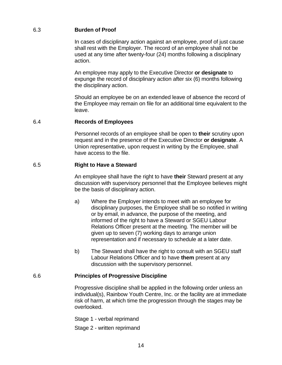# <span id="page-20-0"></span>6.3 **Burden of Proof**

In cases of disciplinary action against an employee, proof of just cause shall rest with the Employer. The record of an employee shall not be used at any time after twenty-four (24) months following a disciplinary action.

An employee may apply to the Executive Director **or designate** to expunge the record of disciplinary action after six (6) months following the disciplinary action.

Should an employee be on an extended leave of absence the record of the Employee may remain on file for an additional time equivalent to the leave.

#### <span id="page-20-1"></span>6.4 **Records of Employees**

Personnel records of an employee shall be open to **their** scrutiny upon request and in the presence of the Executive Director **or designate**. A Union representative, upon request in writing by the Employee, shall have access to the file.

#### <span id="page-20-2"></span>6.5 **Right to Have a Steward**

An employee shall have the right to have **their** Steward present at any discussion with supervisory personnel that the Employee believes might be the basis of disciplinary action.

- a) Where the Employer intends to meet with an employee for disciplinary purposes, the Employee shall be so notified in writing or by email, in advance, the purpose of the meeting, and informed of the right to have a Steward or SGEU Labour Relations Officer present at the meeting. The member will be given up to seven (7) working days to arrange union representation and if necessary to schedule at a later date.
- b) The Steward shall have the right to consult with an SGEU staff Labour Relations Officer and to have **them** present at any discussion with the supervisory personnel.

## <span id="page-20-3"></span>6.6 **Principles of Progressive Discipline**

Progressive discipline shall be applied in the following order unless an individual(s), Rainbow Youth Centre, Inc. or the facility are at immediate risk of harm, at which time the progression through the stages may be overlooked.

Stage 1 - verbal reprimand

Stage 2 - written reprimand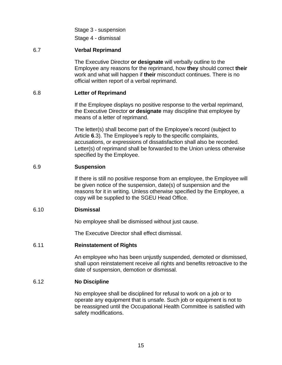Stage 3 - suspension

Stage 4 - dismissal

# <span id="page-21-0"></span>6.7 **Verbal Reprimand**

The Executive Director **or designate** will verbally outline to the Employee any reasons for the reprimand, how **they** should correct **their**  work and what will happen if **their** misconduct continues. There is no official written report of a verbal reprimand.

## <span id="page-21-1"></span>6.8 **Letter of Reprimand**

If the Employee displays no positive response to the verbal reprimand, the Executive Director **or designate** may discipline that employee by means of a letter of reprimand.

The letter(s) shall become part of the Employee's record (subject to Article **6**.3). The Employee's reply to the specific complaints, accusations, or expressions of dissatisfaction shall also be recorded. Letter(s) of reprimand shall be forwarded to the Union unless otherwise specified by the Employee.

# <span id="page-21-2"></span>6.9 **Suspension**

If there is still no positive response from an employee, the Employee will be given notice of the suspension, date(s) of suspension and the reasons for it in writing. Unless otherwise specified by the Employee, a copy will be supplied to the SGEU Head Office.

## <span id="page-21-3"></span>6.10 **Dismissal**

No employee shall be dismissed without just cause.

The Executive Director shall effect dismissal.

## <span id="page-21-4"></span>6.11 **Reinstatement of Rights**

An employee who has been unjustly suspended, demoted or dismissed, shall upon reinstatement receive all rights and benefits retroactive to the date of suspension, demotion or dismissal.

## <span id="page-21-5"></span>6.12 **No Discipline**

No employee shall be disciplined for refusal to work on a job or to operate any equipment that is unsafe. Such job or equipment is not to be reassigned until the Occupational Health Committee is satisfied with safety modifications.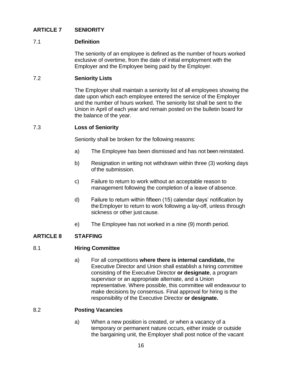# <span id="page-22-0"></span>**ARTICLE 7 SENIORITY**

# <span id="page-22-1"></span>7.1 **Definition**

The seniority of an employee is defined as the number of hours worked exclusive of overtime, from the date of initial employment with the Employer and the Employee being paid by the Employer.

## <span id="page-22-2"></span>7.2 **Seniority Lists**

The Employer shall maintain a seniority list of all employees showing the date upon which each employee entered the service of the Employer and the number of hours worked. The seniority list shall be sent to the Union in April of each year and remain posted on the bulletin board for the balance of the year.

## <span id="page-22-3"></span>7.3 **Loss of Seniority**

Seniority shall be broken for the following reasons:

- a) The Employee has been dismissed and has not been reinstated.
- b) Resignation in writing not withdrawn within three (3) working days of the submission.
- c) Failure to return to work without an acceptable reason to management following the completion of a leave of absence.
- d) Failure to return within fifteen (15) calendar days' notification by theEmployer to return to work following a lay-off, unless through sickness or other just cause.
- e) The Employee has not worked in a nine (9) month period.

# <span id="page-22-5"></span><span id="page-22-4"></span>**ARTICLE 8 STAFFING**

## 8.1 **Hiring Committee**

a) For all competitions **where there is internal candidate,** the Executive Director and Union shall establish a hiring committee consisting of the Executive Director **or designate**, a program supervisor or an appropriate alternate, and a Union representative. Where possible, this committee will endeavour to make decisions by consensus. Final approval for hiring is the responsibility of the Executive Director **or designate.**

## <span id="page-22-6"></span>8.2 **Posting Vacancies**

a) When a new position is created, or when a vacancy of a temporary or permanent nature occurs, either inside or outside the bargaining unit, the Employer shall post notice of the vacant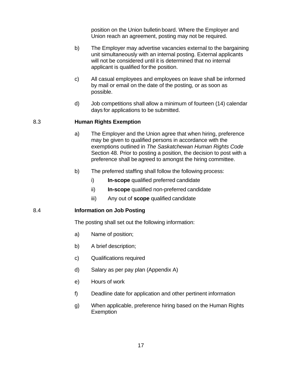position on the Union bulletin board. Where the Employer and Union reach an agreement, posting may not be required.

- b) The Employer may advertise vacancies external to the bargaining unit simultaneously with an internal posting. External applicants will not be considered until it is determined that no internal applicant is qualified forthe position.
- c) All casual employees and employees on leave shall be informed by mail or email on the date of the posting, or as soon as possible.
- d) Job competitions shall allow a minimum of fourteen (14) calendar days for applications to be submitted.

## <span id="page-23-0"></span>8.3 **Human Rights Exemption**

- a) The Employer and the Union agree that when hiring, preference may be given to qualified persons in accordance with the exemptions outlined in *The Saskatchewan Human Rights Code* Section 48. Prior to posting a position, the decision to post with a preference shall be agreed to amongst the hiring committee.
- b) The preferred staffing shall follow the following process:
	- i) **In-scope** qualified preferred candidate
	- ii) **In-scope** qualified non-preferred candidate
	- iii) Any out of **scope** qualified candidate

# <span id="page-23-1"></span>8.4 **Information on Job Posting**

The posting shall set out the following information:

- a) Name of position;
- b) A brief description;
- c) Qualifications required
- d) Salary as per pay plan (Appendix A)
- e) Hours of work
- f) Deadline date for application and other pertinent information
- g) When applicable, preference hiring based on the Human Rights **Exemption**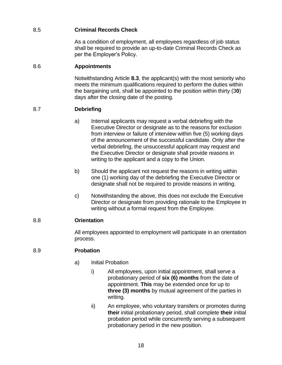# <span id="page-24-0"></span>8.5 **Criminal Records Check**

As a condition of employment, all employees regardless of job status shall be required to provide an up-to-date Criminal Records Check as per the Employer's Policy.

# <span id="page-24-1"></span>8.6 **Appointments**

Notwithstanding Article **8.3**, the applicant(s) with the most seniority who meets the minimum qualifications required to perform the duties within the bargaining unit, shall be appointed to the position within thirty (3**0**) days after the closing date of the posting.

# <span id="page-24-2"></span>8.7 **Debriefing**

- a) Internal applicants may request a verbal debriefing with the Executive Director or designate as to the reasons for exclusion from interview or failure of interview within five (5) working days of the announcement of the successful candidate. Only after the verbal debriefing, the unsuccessful applicant may request and the Executive Director or designate shall provide reasons in writing to the applicant and a copy to the Union.
- b) Should the applicant not request the reasons in writing within one (1) working day of the debriefing the Executive Director or designate shall not be required to provide reasons in writing.
- c) Notwithstanding the above, this does not exclude the Executive Director or designate from providing rationale to the Employee in writing without a formal request from the Employee.

# <span id="page-24-3"></span>8.8 **Orientation**

All employees appointed to employment will participate in an orientation process.

# <span id="page-24-4"></span>8.9 **Probation**

- a) Initial Probation
	- i) All employees, upon initial appointment, shall serve a probationary period of **six (6) months** from the date of appointment. **This** may be extended once for up to **three (3) months** by mutual agreement of the parties in writing.
	- ii) An employee, who voluntary transfers or promotes during **their** initial probationary period, shall complete **their** initial probation period while concurrently serving a subsequent probationary period in the new position.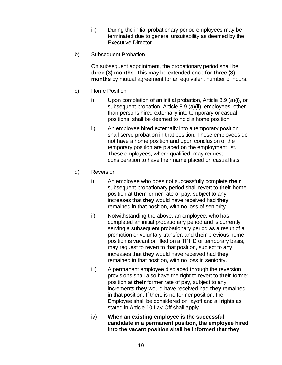- iii) During the initial probationary period employees may be terminated due to general unsuitability as deemed by the Executive Director.
- b) Subsequent Probation

On subsequent appointment, the probationary period shall be **three (3) months**. This may be extended once **for three (3) months** by mutual agreement for an equivalent number of hours.

- c) Home Position
	- i) Upon completion of an initial probation, Article 8.9 (a)(i), or subsequent probation, Article 8.9 (a)(ii), employees, other than persons hired externally into temporary or casual positions, shall be deemed to hold a home position.
	- ii) An employee hired externally into a temporary position shall serve probation in that position. These employees do not have a home position and upon conclusion of the temporary position are placed on the employment list. These employees, where qualified, may request consideration to have their name placed on casual lists.
- d) Reversion
	- i) An employee who does not successfully complete **their** subsequent probationary period shall revert to **their** home position at **their** former rate of pay, subject to any increases that **they** would have received had **they** remained in that position, with no loss of seniority.
	- ii) Notwithstanding the above, an employee, who has completed an initial probationary period and is currently serving a subsequent probationary period as a result of a promotion or voluntary transfer, and **their** previous home position is vacant or filled on a TPHD or temporary basis, may request to revert to that position, subject to any increases that **they** would have received had **they**  remained in that position, with no loss in seniority.
	- iii) A permanent employee displaced through the reversion provisions shall also have the right to revert to **their** former position at **their** former rate of pay, subject to any increments **they** would have received had **they** remained in that position. If there is no former position, the Employee shall be considered on layoff and all rights as stated in Article 10 Lay-Off shall apply.
	- iv) **When an existing employee is the successful candidate in a permanent position, the employee hired into the vacant position shall be informed that they**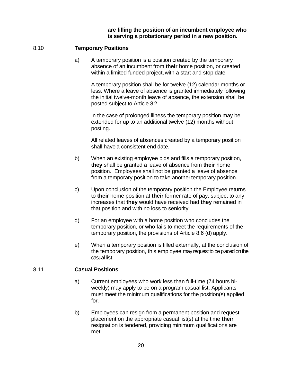#### **are filling the position of an incumbent employee who is serving a probationary period in a new position.**

## <span id="page-26-0"></span>8.10 **Temporary Positions**

a) A temporary position is a position created by the temporary absence of an incumbent from **their** home position, or created within a limited funded project, with a start and stop date.

A temporary position shall be for twelve (12) calendar months or less. Where a leave of absence is granted immediately following the initial twelve-month leave of absence, the extension shall be posted subject to Article 8.2.

In the case of prolonged illness the temporary position may be extended for up to an additional twelve (12) months without posting.

All related leaves of absences created by a temporary position shall have a consistent end date.

- b) When an existing employee bids and fills a temporary position, **they** shall be granted a leave of absence from **their** home position. Employees shall not be granted a leave of absence from a temporary position to take another temporary position.
- c) Upon conclusion of the temporary position the Employee returns to **their** home position at **their** former rate of pay, subject to any increases that **they** would have received had **they** remained in that position and with no loss to seniority.
- d) For an employee with a home position who concludes the temporary position, or who fails to meet the requirements of the temporary position, the provisions of Article 8.6 (d) apply.
- e) When a temporary position is filled externally, at the conclusion of the temporary position, this employee may request to be placed on the casual list.

## <span id="page-26-1"></span>8.11 **Casual Positions**

- a) Current employees who work less than full-time (74 hours biweekly) may apply to be on a program casual list. Applicants must meet the minimum qualifications for the position(s) applied for.
- b) Employees can resign from a permanent position and request placement on the appropriate casual list(s) at the time **their** resignation is tendered, providing minimum qualifications are met.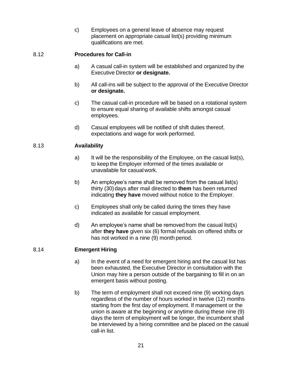c) Employees on a general leave of absence may request placement on appropriate casual list(s) providing minimum qualifications are met.

# <span id="page-27-0"></span>8.12 **Procedures for Call-in**

- a) A casual call-in system will be established and organized by the Executive Director **or designate.**
- b) All call-ins will be subject to the approval of the Executive Director **or designate.**
- c) The casual call-in procedure will be based on a rotational system to ensure equal sharing of available shifts amongst casual employees.
- d) Casual employees will be notified of shift duties thereof, expectations and wage for work performed.

# <span id="page-27-1"></span>8.13 **Availability**

- a) It will be the responsibility of the Employee, on the casual list(s), to keep the Employer informed of the times available or unavailable for casualwork.
- b) An employee's name shall be removed from the casual list(s) thirty (30) days after mail directed to **them** has been returned indicating **they have** moved without notice to the Employer.
- c) Employees shall only be called during the times they have indicated as available for casual employment.
- d) An employee's name shall be removed from the casual list(s) after **they have** given six (6) formal refusals on offered shifts or has not worked in a nine (9) month period.

# <span id="page-27-2"></span>8.14 **Emergent Hiring**

- a) In the event of a need for emergent hiring and the casual list has been exhausted, the Executive Director in consultation with the Union may hire a person outside of the bargaining to fill in on an emergent basis without posting.
- b) The term of employment shall not exceed nine (9) working days regardless of the number of hours worked in twelve (12) months starting from the first day of employment. If management or the union is aware at the beginning or anytime during these nine (9) days the term of employment will be longer, the incumbent shall be interviewed by a hiring committee and be placed on the casual call-in list.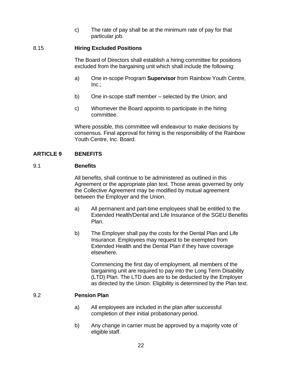c) The rate of pay shall be at the minimum rate of pay for that particular job.

## <span id="page-28-0"></span>8.15 **Hiring Excluded Positions**

The Board of Directors shall establish a hiring committee for positions excluded from the bargaining unit which shall include the following:

- a) One in-scope Program **Supervisor** from Rainbow Youth Centre,  $Inc.$ ;
- b) One in-scope staff member selected by the Union; and
- c) Whomever the Board appoints to participate in the hiring committee.

Where possible, this committee will endeavour to make decisions by consensus. Final approval for hiring is the responsibility of the Rainbow Youth Centre, Inc. Board.

# <span id="page-28-1"></span>**ARTICLE 9 BENEFITS**

## <span id="page-28-2"></span>9.1 **Benefits**

All benefits, shall continue to be administered as outlined in this Agreement or the appropriate plan text. Those areas governed by only the Collective Agreement may be modified by mutual agreement between the Employer and the Union.

- a) All permanent and part-time employees shall be entitled to the Extended Health/Dental and Life Insurance of the SGEU Benefits Plan.
- b) The Employer shall pay the costs for the Dental Plan and Life Insurance. Employees may request to be exempted from Extended Health and the Dental Plan if they have coverage elsewhere.

Commencing the first day of employment, all members of the bargaining unit are required to pay into the Long Term Disability (LTD) Plan. The LTD dues are to be deducted by the Employer as directed by the Union. Eligibility is determined by the Plan text.

## <span id="page-28-3"></span>9.2 **Pension Plan**

- a) All employees are included in the plan after successful completion of their initial probationary period.
- b) Any change in carrier must be approved by a majority vote of eligible staff.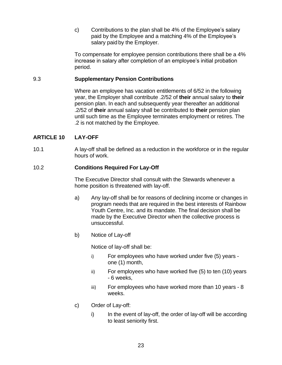c) Contributions to the plan shall be 4% of the Employee's salary paid by the Employee and a matching 4% of the Employee's salary paid by the Employer.

To compensate for employee pension contributions there shall be a 4% increase in salary after completion of an employee's initial probation period.

## <span id="page-29-0"></span>9.3 **Supplementary Pension Contributions**

Where an employee has vacation entitlements of 6/52 in the following year, the Employer shall contribute .2/52 of **their** annual salary to **their**  pension plan. In each and subsequently year thereafter an additional .2/52 of **their** annual salary shall be contributed to **their** pension plan until such time as the Employee terminates employment or retires. The .2 is not matched by the Employee.

# <span id="page-29-1"></span>**ARTICLE 10 LAY-OFF**

10.1 A lay-off shall be defined as a reduction in the workforce or in the regular hours of work.

# <span id="page-29-2"></span>10.2 **Conditions Required For Lay-Off**

The Executive Director shall consult with the Stewards whenever a home position is threatened with lay-off.

- a) Any lay-off shall be for reasons of declining income or changes in program needs that are required in the best interests of Rainbow Youth Centre, Inc. and its mandate. The final decision shall be made by the Executive Director when the collective process is unsuccessful.
- b) Notice of Lay-off

Notice of lay-off shall be:

- i) For employees who have worked under five (5) years one (1) month,
- ii) For employees who have worked five (5) to ten (10) years - 6 weeks,
- iii) For employees who have worked more than 10 years 8 weeks.
- c) Order of Lay-off:
	- $i)$  In the event of lay-off, the order of lay-off will be according to least seniority first.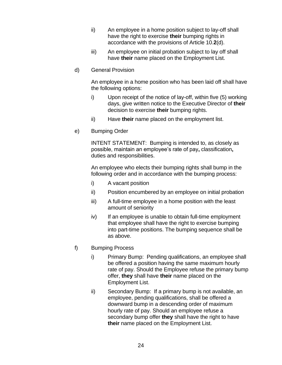- ii) An employee in a home position subject to lay-off shall have the right to exercise **their** bumping rights in accordance with the provisions of Article 10.**2**(d).
- iii) An employee on initial probation subject to lay off shall have **their** name placed on the Employment List.
- d) General Provision

An employee in a home position who has been laid off shall have the following options:

- i) Upon receipt of the notice of lay-off, within five (5) working days, give written notice to the Executive Director of **their**  decision to exercise **their** bumping rights.
- ii) Have **their** name placed on the employment list.
- e) Bumping Order

INTENT STATEMENT: Bumping is intended to, as closely as possible, maintain an employee's rate of pay**,** classification**,** duties and responsibilities.

An employee who elects their bumping rights shall bump in the following order and in accordance with the bumping process:

- i) A vacant position
- ii) Position encumbered by an employee on initial probation
- iii) A full-time employee in a home position with the least amount of seniority
- iv) If an employee is unable to obtain full-time employment that employee shall have the right to exercise bumping into part-time positions. The bumping sequence shall be as above.
- f) Bumping Process
	- i) Primary Bump: Pending qualifications, an employee shall be offered a position having the same maximum hourly rate of pay. Should the Employee refuse the primary bump offer, **they** shall have **their** name placed on the Employment List.
	- ii) Secondary Bump: If a primary bump is not available, an employee, pending qualifications, shall be offered a downward bump in a descending order of maximum hourly rate of pay. Should an employee refuse a secondary bump offer **they** shall have the right to have **their** name placed on the Employment List.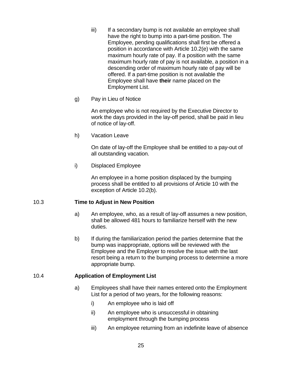- iii) If a secondary bump is not available an employee shall have the right to bump into a part-time position. The Employee, pending qualifications shall first be offered a position in accordance with Article 10.2(e) with the same maximum hourly rate of pay. If a position with the same maximum hourly rate of pay is not available, a position in a descending order of maximum hourly rate of pay will be offered. If a part-time position is not available the Employee shall have **their** name placed on the Employment List.
- g) Pay in Lieu of Notice

An employee who is not required by the Executive Director to work the days provided in the lay-off period, shall be paid in lieu of notice of lay-off.

h) Vacation Leave

On date of lay-off the Employee shall be entitled to a pay-out of all outstanding vacation.

i) Displaced Employee

An employee in a home position displaced by the bumping process shall be entitled to all provisions of Article 10 with the exception of Article 10.2(b).

# <span id="page-31-0"></span>10.3 **Time to Adjust in New Position**

- a) An employee, who, as a result of lay-off assumes a new position, shall be allowed 481 hours to familiarize herself with the new duties.
- b) If during the familiarization period the parties determine that the bump was inappropriate, options will be reviewed with the Employee and the Employer to resolve the issue with the last resort being a return to the bumping process to determine a more appropriate bump.

# <span id="page-31-1"></span>10.4 **Application of Employment List**

- a) Employees shall have their names entered onto the Employment List for a period of two years, for the following reasons:
	- i) An employee who is laid off
	- ii) An employee who is unsuccessful in obtaining employment through the bumping process
	- iii) An employee returning from an indefinite leave of absence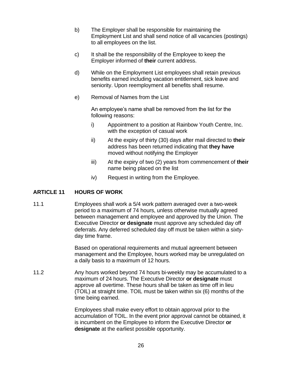- b) The Employer shall be responsible for maintaining the Employment List and shall send notice of all vacancies (postings) to all employees on the list.
- c) It shall be the responsibility of the Employee to keep the Employer informed of **their** current address.
- d) While on the Employment List employees shall retain previous benefits earned including vacation entitlement, sick leave and seniority. Upon reemployment all benefits shall resume.
- e) Removal of Names from the List

An employee's name shall be removed from the list for the following reasons:

- i) Appointment to a position at Rainbow Youth Centre, Inc. with the exception of casual work
- ii) At the expiry of thirty (30) days after mail directed to **their**  address has been returned indicating that **they have** moved without notifying the Employer
- iii) At the expiry of two (2) years from commencement of **their** name being placed on the list
- iv) Request in writing from the Employee.

# <span id="page-32-0"></span>**ARTICLE 11 HOURS OF WORK**

11.1 Employees shall work a 5/4 work pattern averaged over a two-week period to a maximum of 74 hours, unless otherwise mutually agreed between management and employee and approved by the Union. The Executive Director **or designate** must approve any scheduled day off deferrals. Any deferred scheduled day off must be taken within a sixtyday time frame.

> Based on operational requirements and mutual agreement between management and the Employee, hours worked may be unregulated on a daily basis to a maximum of 12 hours.

11.2 Any hours worked beyond 74 hours bi-weekly may be accumulated to a maximum of 24 hours. The Executive Director **or designate** must approve all overtime. These hours shall be taken as time off in lieu (TOIL) at straight time. TOIL must be taken within six (6) months of the time being earned.

> Employees shall make every effort to obtain approval prior to the accumulation of TOIL. In the event prior approval cannot be obtained, it is incumbent on the Employee to inform the Executive Director **or designate** at the earliest possible opportunity.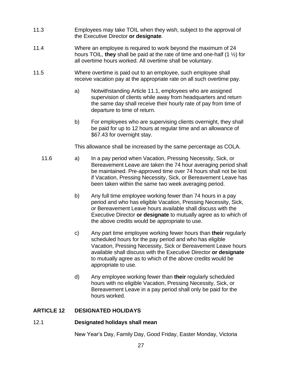- 11.3 Employees may take TOIL when they wish, subject to the approval of the Executive Director **or designate**.
- 11.4 Where an employee is required to work beyond the maximum of 24 hours TOIL, **they** shall be paid at the rate of time and one-half (1 ½) for all overtime hours worked. All overtime shall be voluntary.
- 11.5 Where overtime is paid out to an employee, such employee shall receive vacation pay at the appropriate rate on all such overtime pay.
	- a) Notwithstanding Article 11.1, employees who are assigned supervision of clients while away from headquarters and return the same day shall receive their hourly rate of pay from time of departure to time of return.
	- b) For employees who are supervising clients overnight, they shall be paid for up to 12 hours at regular time and an allowance of \$67.43 for overnight stay.

This allowance shall be increased by the same percentage as COLA.

- 11.6 a) In a pay period when Vacation, Pressing Necessity, Sick, or Bereavement Leave are taken the 74 hour averaging period shall be maintained. Pre-approved time over 74 hours shall not be lost if Vacation, Pressing Necessity, Sick, or Bereavement Leave has been taken within the same two week averaging period.
	- b) Any full time employee working fewer than 74 hours in a pay period and who has eligible Vacation, Pressing Necessity, Sick, or Bereavement Leave hours available shall discuss with the Executive Director **or designate** to mutually agree as to which of the above credits would be appropriate to use.
	- c) Any part time employee working fewer hours than **their** regularly scheduled hours for the pay period and who has eligible Vacation, Pressing Necessity, Sick or Bereavement Leave hours available shall discuss with the Executive Director **or designate** to mutually agree as to which of the above credits would be appropriate to use.
	- d) Any employee working fewer than **their** regularly scheduled hours with no eligible Vacation, Pressing Necessity, Sick, or Bereavement Leave in a pay period shall only be paid for the hours worked.

# <span id="page-33-0"></span>**ARTICLE 12 DESIGNATED HOLIDAYS**

# <span id="page-33-1"></span>12.1 **Designated holidays shall mean**

New Year's Day, Family Day, Good Friday, Easter Monday, Victoria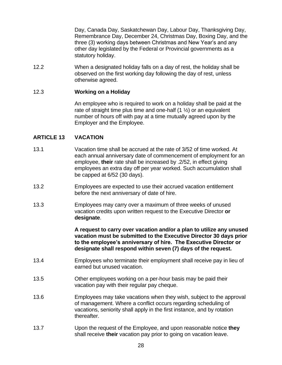Day, Canada Day, Saskatchewan Day, Labour Day, Thanksgiving Day, Remembrance Day, December 24, Christmas Day, Boxing Day, and the three (3) working days between Christmas and New Year's and any other day legislated by the Federal or Provincial governments as a statutory holiday.

12.2 When a designated holiday falls on a day of rest, the holiday shall be observed on the first working day following the day of rest, unless otherwise agreed.

#### <span id="page-34-0"></span>12.3 **Working on a Holiday**

An employee who is required to work on a holiday shall be paid at the rate of straight time plus time and one-half  $(1 \frac{1}{2})$  or an equivalent number of hours off with pay at a time mutually agreed upon by the Employer and the Employee.

# <span id="page-34-1"></span>**ARTICLE 13 VACATION**

- 13.1 Vacation time shall be accrued at the rate of 3/52 of time worked. At each annual anniversary date of commencement of employment for an employee, **their** rate shall be increased by .2/52, in effect giving employees an extra day off per year worked. Such accumulation shall be capped at 6/52 (30 days).
- 13.2 Employees are expected to use their accrued vacation entitlement before the next anniversary of date of hire.
- 13.3 Employees may carry over a maximum of three weeks of unused vacation credits upon written request to the Executive Director **or designate**.

**A request to carry over vacation and/or a plan to utilize any unused vacation must be submitted to the Executive Director 30 days prior to the employee's anniversary of hire. The Executive Director or designate shall respond within seven (7) days of the request.**

- 13.4 Employees who terminate their employment shall receive pay in lieu of earned but unused vacation.
- 13.5 Other employees working on a per-hour basis may be paid their vacation pay with their regular pay cheque.
- 13.6 Employees may take vacations when they wish, subject to the approval of management. Where a conflict occurs regarding scheduling of vacations, seniority shall apply in the first instance, and by rotation thereafter.
- 13.7 Upon the request of the Employee, and upon reasonable notice **they**  shall receive **their** vacation pay prior to going on vacation leave.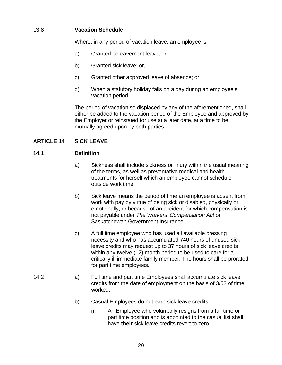# <span id="page-35-0"></span>13.8 **Vacation Schedule**

Where, in any period of vacation leave, an employee is:

- a) Granted bereavement leave; or,
- b) Granted sick leave; or,
- c) Granted other approved leave of absence; or,
- d) When a statutory holiday falls on a day during an employee's vacation period.

The period of vacation so displaced by any of the aforementioned, shall either be added to the vacation period of the Employee and approved by the Employer or reinstated for use at a later date, at a time to be mutually agreed upon by both parties.

# <span id="page-35-1"></span>**ARTICLE 14 SICK LEAVE**

# <span id="page-35-2"></span>**14.1 Definition**

- a) Sickness shall include sickness or injury within the usual meaning of the terms, as well as preventative medical and health treatments for herself which an employee cannot schedule outside work time.
- b) Sick leave means the period of time an employee is absent from work with pay by virtue of being sick or disabled, physically or emotionally, or because of an accident for which compensation is not payable under *The Workers' Compensation Act* or Saskatchewan Government Insurance.
- c) A full time employee who has used all available pressing necessity and who has accumulated 740 hours of unused sick leave credits may request up to 37 hours of sick leave credits within any twelve (12) month period to be used to care for a critically ill immediate family member. The hours shall be prorated for part time employees.
- 14.2 a) Full time and part time Employees shall accumulate sick leave credits from the date of employment on the basis of 3/52 of time worked.
	- b) Casual Employees do not earn sick leave credits.
		- i) An Employee who voluntarily resigns from a full time or part time position and is appointed to the casual list shall have **their** sick leave credits revert to zero.
			- 29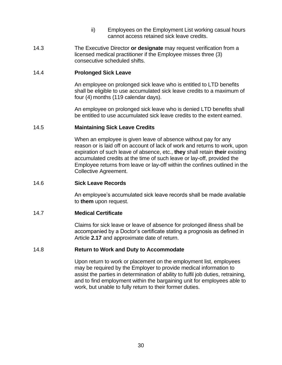- ii) Employees on the Employment List working casual hours cannot access retained sick leave credits.
- 14.3 The Executive Director **or designate** may request verification from a licensed medical practitioner if the Employee misses three (3) consecutive scheduled shifts.

#### 14.4 **Prolonged Sick Leave**

An employee on prolonged sick leave who is entitled to LTD benefits shall be eligible to use accumulated sick leave credits to a maximum of four (4) months (119 calendar days).

An employee on prolonged sick leave who is denied LTD benefits shall be entitled to use accumulated sick leave credits to the extent earned.

#### 14.5 **Maintaining Sick Leave Credits**

When an employee is given leave of absence without pay for any reason or is laid off on account of lack of work and returns to work, upon expiration of such leave of absence, etc., **they** shall retain **their** existing accumulated credits at the time of such leave or lay-off, provided the Employee returns from leave or lay-off within the confines outlined in the Collective Agreement.

#### 14.6 **Sick Leave Records**

An employee's accumulated sick leave records shall be made available to **them** upon request.

#### 14.7 **Medical Certificate**

Claims for sick leave or leave of absence for prolonged illness shall be accompanied by a Doctor's certificate stating a prognosis as defined in Article **2.17** and approximate date of return.

#### 14.8 **Return to Work and Duty to Accommodate**

Upon return to work or placement on the employment list, employees may be required by the Employer to provide medical information to assist the parties in determination of ability to fulfil job duties, retraining, and to find employment within the bargaining unit for employees able to work, but unable to fully return to their former duties.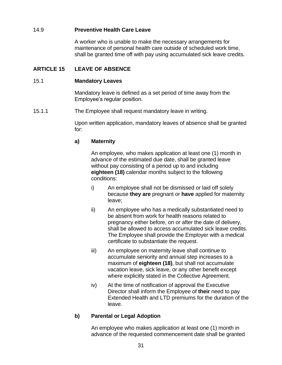## 14.9 **Preventive Health Care Leave**

A worker who is unable to make the necessary arrangements for maintenance of personal health care outside of scheduled work time, shall be granted time off with pay using accumulated sick leave credits.

## **ARTICLE 15 LEAVE OF ABSENCE**

#### 15.1 **Mandatory Leaves**

Mandatory leave is defined as a set period of time away from the Employee's regular position.

15.1.1 The Employee shall request mandatory leave in writing.

Upon written application, mandatory leaves of absence shall be granted for:

### **a) Maternity**

An employee, who makes application at least one (1) month in advance of the estimated due date, shall be granted leave without pay consisting of a period up to and including **eighteen (18)** calendar months subject to the following conditions:

- i) An employee shall not be dismissed or laid off solely because **they are** pregnant or **have** applied for maternity leave;
- ii) An employee who has a medically substantiated need to be absent from work for health reasons related to pregnancy either before, on or after the date of delivery, shall be allowed to access accumulated sick leave credits. The Employee shall provide the Employer with a medical certificate to substantiate the request.
- iii) An employee on maternity leave shall continue to accumulate seniority and annual step increases to a maximum of **eighteen (18)**, but shall not accumulate vacation leave, sick leave, or any other benefit except where explicitly stated in the Collective Agreement.
- iv) At the time of notification of approval the Executive Director shall inform the Employee of **their** need to pay Extended Health and LTD premiums for the duration of the leave.

### **b) Parental or Legal Adoption**

An employee who makes application at least one (1) month in advance of the requested commencement date shall be granted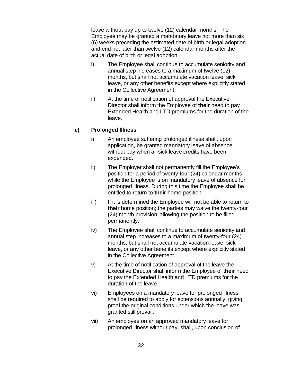leave without pay up to twelve (12) calendar months. The Employee may be granted a mandatory leave not more than six (6) weeks preceding the estimated date of birth or legal adoption and end not later than twelve (12) calendar months after the actual date of birth or legal adoption.

- i) The Employee shall continue to accumulate seniority and annual step increases to a maximum of twelve (12) months, but shall not accumulate vacation leave, sick leave, or any other benefits except where explicitly stated in the Collective Agreement.
- ii) At the time of notification of approval the Executive Director shall inform the Employee of **their** need to pay Extended Health and LTD premiums for the duration of the leave.

## **c) Prolonged Illness**

- i) An employee suffering prolonged illness shall, upon application, be granted mandatory leave of absence without pay when all sick leave credits have been expended.
- ii) The Employer shall not permanently fill the Employee's position for a period of twenty-four (24) calendar months while the Employee is on mandatory leave of absence for prolonged illness. During this time the Employee shall be entitled to return to **their** home position.
- iii) If it is determined the Employee will not be able to return to **their** home position; the parties may waive the twenty-four (24) month provision, allowing the position to be filled permanently.
- iv) The Employee shall continue to accumulate seniority and annual step increases to a maximum of twenty-four (24) months, but shall not accumulate vacation leave, sick leave, or any other benefits except where explicitly stated in the Collective Agreement.
- v) At the time of notification of approval of the leave the Executive Director shall inform the Employee of **their** need to pay the Extended Health and LTD premiums for the duration of the leave.
- vi) Employees on a mandatory leave for prolonged illness shall be required to apply for extensions annually, giving proof the original conditions under which the leave was granted still prevail.
- vii) An employee on an approved mandatory leave for prolonged illness without pay, shall, upon conclusion of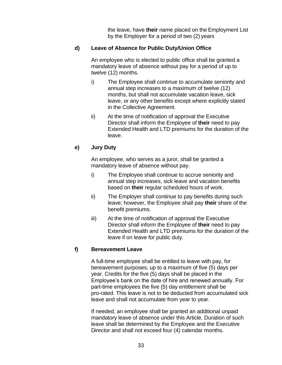the leave, have **their** name placed on the Employment List by the Employer for a period of two (2) years

## **d) Leave of Absence for Public Duty/Union Office**

An employee who is elected to public office shall be granted a mandatory leave of absence without pay for a period of up to twelve (12) months.

- i) The Employee shall continue to accumulate seniority and annual step increases to a maximum of twelve (12) months, but shall not accumulate vacation leave, sick leave, or any other benefits except where explicitly stated in the Collective Agreement.
- ii) At the time of notification of approval the Executive Director shall inform the Employee of **their** need to pay Extended Health and LTD premiums for the duration of the leave.

## **e) Jury Duty**

An employee, who serves as a juror, shall be granted a mandatory leave of absence without pay.

- i) The Employee shall continue to accrue seniority and annual step increases, sick leave and vacation benefits based on **their** regular scheduled hours of work.
- ii) The Employer shall continue to pay benefits during such leave; however, the Employee shall pay **their** share of the benefit premiums.
- iii) At the time of notification of approval the Executive Director shall inform the Employee of **their** need to pay Extended Health and LTD premiums for the duration of the leave if on leave for public duty.

# **f) Bereavement Leave**

A full-time employee shall be entitled to leave with pay, for bereavement purposes, up to a maximum of five (5) days per year. Credits for the five (5) days shall be placed in the Employee's bank on the date of hire and renewed annually. For part-time employees the five (5) day entitlement shall be pro-rated. This leave is not to be deducted from accumulated sick leave and shall not accumulate from year to year.

If needed, an employee shall be granted an additional unpaid mandatory leave of absence under this Article. Duration of such leave shall be determined by the Employee and the Executive Director and shall not exceed four (4) calendar months.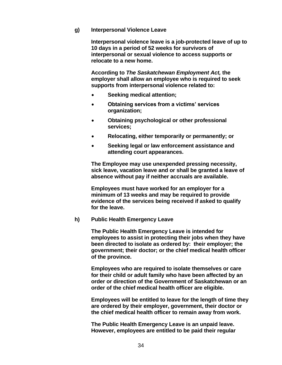#### **g) Interpersonal Violence Leave**

**Interpersonal violence leave is a job-protected leave of up to 10 days in a period of 52 weeks for survivors of interpersonal or sexual violence to access supports or relocate to a new home.**

**According to** *The Saskatchewan Employment Act,* **the employer shall allow an employee who is required to seek supports from interpersonal violence related to:**

- **Seeking medical attention;**
- **Obtaining services from a victims' services organization;**
- **Obtaining psychological or other professional services;**
- **Relocating, either temporarily or permanently; or**
- **Seeking legal or law enforcement assistance and attending court appearances.**

**The Employee may use unexpended pressing necessity, sick leave, vacation leave and or shall be granted a leave of absence without pay if neither accruals are available.** 

**Employees must have worked for an employer for a minimum of 13 weeks and may be required to provide evidence of the services being received if asked to qualify for the leave.**

#### **h) Public Health Emergency Leave**

**The Public Health Emergency Leave is intended for employees to assist in protecting their jobs when they have been directed to isolate as ordered by: their employer; the government; their doctor; or the chief medical health officer of the province.**

**Employees who are required to isolate themselves or care for their child or adult family who have been affected by an order or direction of the Government of Saskatchewan or an order of the chief medical health officer are eligible.**

**Employees will be entitled to leave for the length of time they are ordered by their employer, government, their doctor or the chief medical health officer to remain away from work.**

**The Public Health Emergency Leave is an unpaid leave. However, employees are entitled to be paid their regular**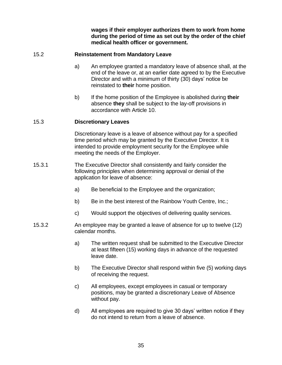**wages if their employer authorizes them to work from home during the period of time as set out by the order of the chief medical health officer or government.**

## 15.2 **Reinstatement from Mandatory Leave**

- a) An employee granted a mandatory leave of absence shall, at the end of the leave or, at an earlier date agreed to by the Executive Director and with a minimum of thirty (30) days' notice be reinstated to **their** home position.
- b) If the home position of the Employee is abolished during **their** absence **they** shall be subject to the lay-off provisions in accordance with Article 10.

### 15.3 **Discretionary Leaves**

Discretionary leave is a leave of absence without pay for a specified time period which may be granted by the Executive Director. It is intended to provide employment security for the Employee while meeting the needs of the Employer.

- 15.3.1 The Executive Director shall consistently and fairly consider the following principles when determining approval or denial of the application for leave of absence:
	- a) Be beneficial to the Employee and the organization;
	- b) Be in the best interest of the Rainbow Youth Centre, Inc.;
	- c) Would support the objectives of delivering quality services.
- 15.3.2 An employee may be granted a leave of absence for up to twelve (12) calendar months.
	- a) The written request shall be submitted to the Executive Director at least fifteen (15) working days in advance of the requested leave date.
	- b) The Executive Director shall respond within five (5) working days of receiving the request.
	- c) All employees, except employees in casual or temporary positions, may be granted a discretionary Leave of Absence without pay.
	- d) All employees are required to give 30 days' written notice if they do not intend to return from a leave of absence.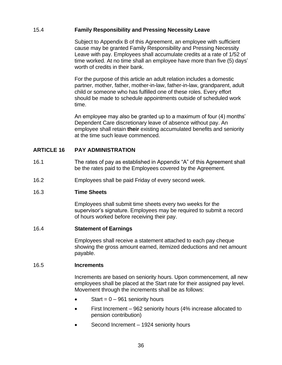## 15.4 **Family Responsibility and Pressing Necessity Leave**

Subject to Appendix B of this Agreement, an employee with sufficient cause may be granted Family Responsibility and Pressing Necessity Leave with pay. Employees shall accumulate credits at a rate of 1/52 of time worked. At no time shall an employee have more than five (5) days' worth of credits in their bank.

For the purpose of this article an adult relation includes a domestic partner, mother, father, mother-in-law, father-in-law, grandparent, adult child or someone who has fulfilled one of these roles. Every effort should be made to schedule appointments outside of scheduled work time.

An employee may also be granted up to a maximum of four (4) months' Dependent Care discretionary leave of absence without pay. An employee shall retain **their** existing accumulated benefits and seniority at the time such leave commenced.

# **ARTICLE 16 PAY ADMINISTRATION**

- 16.1 The rates of pay as established in Appendix "A" of this Agreement shall be the rates paid to the Employees covered by the Agreement.
- 16.2 Employees shall be paid Friday of every second week.

### 16.3 **Time Sheets**

Employees shall submit time sheets every two weeks for the supervisor's signature. Employees may be required to submit a record of hours worked before receiving their pay.

#### 16.4 **Statement of Earnings**

Employees shall receive a statement attached to each pay cheque showing the gross amount earned, itemized deductions and net amount payable.

#### 16.5 **Increments**

Increments are based on seniority hours. Upon commencement, all new employees shall be placed at the Start rate for their assigned pay level. Movement through the increments shall be as follows:

- Start =  $0 961$  seniority hours
- First Increment 962 seniority hours (4% increase allocated to pension contribution)
- Second Increment 1924 seniority hours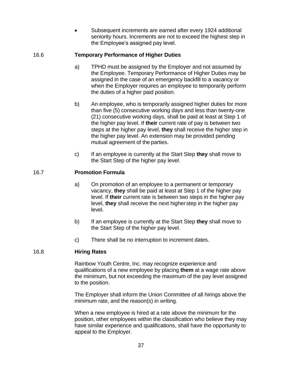Subsequent increments are earned after every 1924 additional seniority hours. Increments are not to exceed the highest step in the Employee's assigned pay level.

# 16.6 **Temporary Performance of Higher Duties**

- a) TPHD must be assigned by the Employer and not assumed by the Employee. Temporary Performance of Higher Duties may be assigned in the case of an emergency backfill to a vacancy or when the Employer requires an employee to temporarily perform the duties of a higher paid position.
- b) An employee, who is temporarily assigned higher duties for more than five (5) consecutive working days and less than twenty-one (21) consecutive working days, shall be paid at least at Step 1 of the higher pay level. If **their** current rate of pay is between two steps at the higher pay level, **they** shall receive the higher step in the higher pay level. An extension may be provided pending mutual agreement of the parties.
- c) If an employee is currently at the Start Step **they** shall move to the Start Step of the higher pay level.

## 16.7 **Promotion Formula**

- a) On promotion of an employee to a permanent or temporary vacancy, **they** shall be paid at least at Step 1 of the higher pay level. If **their** current rate is between two steps in the higher pay level, **they** shall receive the next higher step in the higher pay level.
- b) If an employee is currently at the Start Step **they** shall move to the Start Step of the higher pay level.
- c) There shall be no interruption to increment dates.

# 16.8 **Hiring Rates**

Rainbow Youth Centre, Inc. may recognize experience and qualifications of a new employee by placing **them** at a wage rate above the minimum, but not exceeding the maximum of the pay level assigned to the position.

The Employer shall inform the Union Committee of all hirings above the minimum rate, and the reason(s) in writing.

When a new employee is hired at a rate above the minimum for the position, other employees within the classification who believe they may have similar experience and qualifications, shall have the opportunity to appeal to the Employer.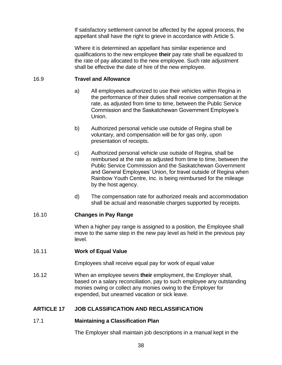If satisfactory settlement cannot be affected by the appeal process, the appellant shall have the right to grieve in accordance with Article 5.

Where it is determined an appellant has similar experience and qualifications to the new employee **their** pay rate shall be equalized to the rate of pay allocated to the new employee. Such rate adjustment shall be effective the date of hire of the new employee.

### 16.9 **Travel and Allowance**

- a) All employees authorized to use their vehicles within Regina in the performance of their duties shall receive compensation at the rate, as adjusted from time to time, between the Public Service Commission and the Saskatchewan Government Employee's Union.
- b) Authorized personal vehicle use outside of Regina shall be voluntary, and compensation will be for gas only, upon presentation of receipts.
- c) Authorized personal vehicle use outside of Regina, shall be reimbursed at the rate as adjusted from time to time, between the Public Service Commission and the Saskatchewan Government and General Employees' Union, for travel outside of Regina when Rainbow Youth Centre, Inc. is being reimbursed for the mileage by the host agency.
- d) The compensation rate for authorized meals and accommodation shall be actual and reasonable charges supported by receipts.

#### 16.10 **Changes in Pay Range**

When a higher pay range is assigned to a position, the Employee shall move to the same step in the new pay level as held in the previous pay level.

#### 16.11 **Work of Equal Value**

Employees shall receive equal pay for work of equal value

16.12 When an employee severs **their** employment, the Employer shall, based on a salary reconciliation, pay to such employee any outstanding monies owing or collect any monies owing to the Employer for expended, but unearned vacation or sick leave.

## **ARTICLE 17 JOB CLASSIFICATION AND RECLASSIFICATION**

#### 17.1 **Maintaining a Classification Plan**

The Employer shall maintain job descriptions in a manual kept in the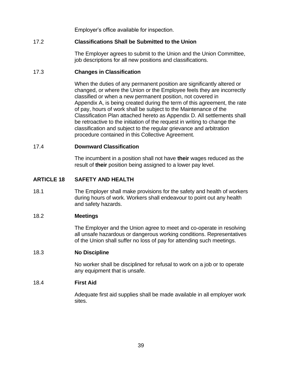Employer's office available for inspection.

# 17.2 **Classifications Shall be Submitted to the Union**

The Employer agrees to submit to the Union and the Union Committee, job descriptions for all new positions and classifications.

## 17.3 **Changes in Classification**

When the duties of any permanent position are significantly altered or changed, or where the Union or the Employee feels they are incorrectly classified or when a new permanent position, not covered in Appendix A, is being created during the term of this agreement, the rate of pay, hours of work shall be subject to the Maintenance of the Classification Plan attached hereto as Appendix D. All settlements shall be retroactive to the initiation of the request in writing to change the classification and subject to the regular grievance and arbitration procedure contained in this Collective Agreement.

### 17.4 **Downward Classification**

The incumbent in a position shall not have **their** wages reduced as the result of **their** position being assigned to a lower pay level.

# **ARTICLE 18 SAFETY AND HEALTH**

18.1 The Employer shall make provisions for the safety and health of workers during hours of work. Workers shall endeavour to point out any health and safety hazards.

#### 18.2 **Meetings**

The Employer and the Union agree to meet and co-operate in resolving all unsafe hazardous or dangerous working conditions. Representatives of the Union shall suffer no loss of pay for attending such meetings.

#### 18.3 **No Discipline**

No worker shall be disciplined for refusal to work on a job or to operate any equipment that is unsafe.

#### 18.4 **First Aid**

Adequate first aid supplies shall be made available in all employer work sites.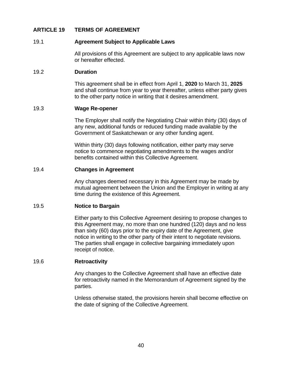### **ARTICLE 19 TERMS OF AGREEMENT**

#### 19.1 **Agreement Subject to Applicable Laws**

All provisions of this Agreement are subject to any applicable laws now or hereafter effected.

#### 19.2 **Duration**

This agreement shall be in effect from April 1, **2020** to March 31, **2025** and shall continue from year to year thereafter, unless either party gives to the other party notice in writing that it desires amendment.

#### 19.3 **Wage Re-opener**

The Employer shall notify the Negotiating Chair within thirty (30) days of any new, additional funds or reduced funding made available by the Government of Saskatchewan or any other funding agent.

Within thirty (30) days following notification, either party may serve notice to commence negotiating amendments to the wages and/or benefits contained within this Collective Agreement.

#### 19.4 **Changes in Agreement**

Any changes deemed necessary in this Agreement may be made by mutual agreement between the Union and the Employer in writing at any time during the existence of this Agreement.

### 19.5 **Notice to Bargain**

Either party to this Collective Agreement desiring to propose changes to this Agreement may, no more than one hundred (120) days and no less than sixty (60) days prior to the expiry date of the Agreement, give notice in writing to the other party of their intent to negotiate revisions. The parties shall engage in collective bargaining immediately upon receipt of notice.

#### 19.6 **Retroactivity**

Any changes to the Collective Agreement shall have an effective date for retroactivity named in the Memorandum of Agreement signed by the parties.

Unless otherwise stated, the provisions herein shall become effective on the date of signing of the Collective Agreement.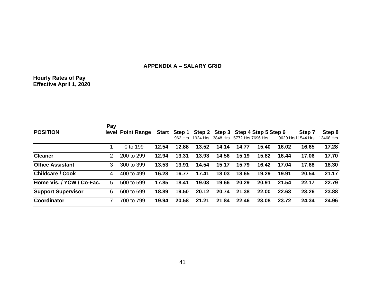# **APPENDIX A – SALARY GRID**

#### **Hourly Rates of Pay Effective April 1, 2020**

| <b>POSITION</b>           | Pay | level Point Range |       | 962 Hrs | 1924 Hrs | 3848 Hrs | Start Step 1 Step 2 Step 3 Step 4 Step 5 Step 6<br>5772 Hrs 7696 Hrs |       |       | Step 7<br>9620 Hrs11544 Hrs | Step 8<br>13468 Hrs |
|---------------------------|-----|-------------------|-------|---------|----------|----------|----------------------------------------------------------------------|-------|-------|-----------------------------|---------------------|
|                           |     | 0 to 199          | 12.54 | 12.88   | 13.52    | 14.14    | 14.77                                                                | 15.40 | 16.02 | 16.65                       | 17.28               |
| <b>Cleaner</b>            | 2   | 200 to 299        | 12.94 | 13.31   | 13.93    | 14.56    | 15.19                                                                | 15.82 | 16.44 | 17.06                       | 17.70               |
| <b>Office Assistant</b>   | 3   | 300 to 399        | 13.53 | 13.91   | 14.54    | 15.17    | 15.79                                                                | 16.42 | 17.04 | 17.68                       | 18.30               |
| <b>Childcare / Cook</b>   | 4   | 400 to 499        | 16.28 | 16.77   | 17.41    | 18.03    | 18.65                                                                | 19.29 | 19.91 | 20.54                       | 21.17               |
| Home Vis. / YCW / Co-Fac. | 5   | 500 to 599        | 17.85 | 18.41   | 19.03    | 19.66    | 20.29                                                                | 20.91 | 21.54 | 22.17                       | 22.79               |
| <b>Support Supervisor</b> | 6   | 600 to 699        | 18.89 | 19.50   | 20.12    | 20.74    | 21.38                                                                | 22.00 | 22.63 | 23.26                       | 23.88               |
| Coordinator               | 7   | 700 to 799        | 19.94 | 20.58   | 21.21    | 21.84    | 22.46                                                                | 23.08 | 23.72 | 24.34                       | 24.96               |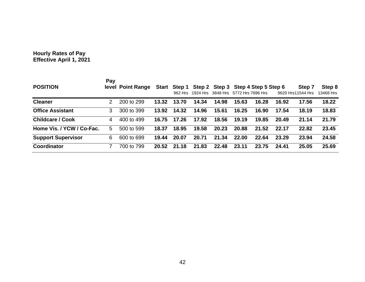#### **Hourly Rates of Pay Effective April 1, 2021**

| <b>POSITION</b>           | Pay | level Point Range |       |       | Start Step 1 Step 2 Step 3 Step 4 Step 5 Step 6<br>962 Hrs 1924 Hrs 3848 Hrs 5772 Hrs 7696 Hrs |       |       |       |       | Step 7<br>9620 Hrs11544 Hrs | Step 8<br>13468 Hrs |
|---------------------------|-----|-------------------|-------|-------|------------------------------------------------------------------------------------------------|-------|-------|-------|-------|-----------------------------|---------------------|
| <b>Cleaner</b>            | 2   | 200 to 299        | 13.32 | 13.70 | 14.34                                                                                          | 14.98 | 15.63 | 16.28 | 16.92 | 17.56                       | 18.22               |
| <b>Office Assistant</b>   | 3   | 300 to 399        | 13.92 | 14.32 | 14.96                                                                                          | 15.61 | 16.25 | 16.90 | 17.54 | 18.19                       | 18.83               |
| <b>Childcare / Cook</b>   | 4   | 400 to 499        | 16.75 | 17.26 | 17.92                                                                                          | 18.56 | 19.19 | 19.85 | 20.49 | 21.14                       | 21.79               |
| Home Vis. / YCW / Co-Fac. | 5.  | 500 to 599        | 18.37 | 18.95 | 19.58                                                                                          | 20.23 | 20.88 | 21.52 | 22.17 | 22.82                       | 23.45               |
| <b>Support Supervisor</b> | 6.  | 600 to 699        | 19.44 | 20.07 | 20.71                                                                                          | 21.34 | 22.00 | 22.64 | 23.29 | 23.94                       | 24.58               |
| <b>Coordinator</b>        |     | 700 to 799        | 20.52 | 21.18 | 21.83                                                                                          | 22.48 | 23.11 | 23.75 | 24.41 | 25.05                       | 25.69               |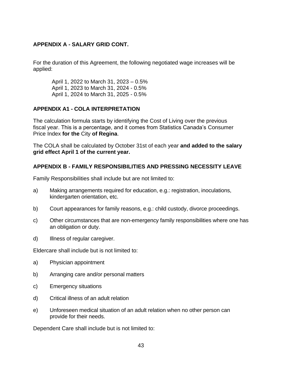# **APPENDIX A - SALARY GRID CONT.**

For the duration of this Agreement, the following negotiated wage increases will be applied:

April 1, 2022 to March 31, 2023 – 0.5% April 1, 2023 to March 31, 2024 - 0.5% April 1, 2024 to March 31, 2025 - 0.5%

# **APPENDIX A1 - COLA INTERPRETATION**

The calculation formula starts by identifying the Cost of Living over the previous fiscal year. This is a percentage, and it comes from Statistics Canada's Consumer Price Index **for the** City **of Regina**.

The COLA shall be calculated by October 31st of each year **and added to the salary grid effect April 1 of the current year.**

# **APPENDIX B - FAMILY RESPONSIBILITIES AND PRESSING NECESSITY LEAVE**

Family Responsibilities shall include but are not limited to:

- a) Making arrangements required for education, e.g.: registration, inoculations, kindergarten orientation, etc.
- b) Court appearances for family reasons, e.g.: child custody, divorce proceedings.
- c) Other circumstances that are non-emergency family responsibilities where one has an obligation or duty.
- d) Illness of regular caregiver.

Eldercare shall include but is not limited to:

- a) Physician appointment
- b) Arranging care and/or personal matters
- c) Emergency situations
- d) Critical illness of an adult relation
- e) Unforeseen medical situation of an adult relation when no other person can provide for their needs.

Dependent Care shall include but is not limited to: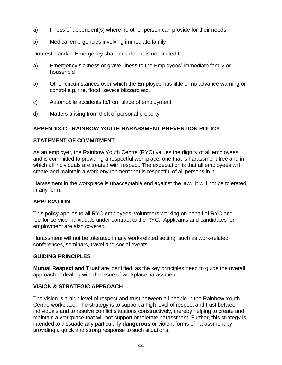- a) Illness of dependent(s) where no other person can provide for their needs.
- b) Medical emergencies involving immediate family

Domestic and/or Emergency shall include but is not limited to:

- a) Emergency sickness or grave illness to the Employees' immediate family or household
- b) Other circumstances over which the Employee has little or no advance warning or control e.g. fire, flood, severe blizzard etc.
- c) Automobile accidents to/from place of employment
- d) Matters arising from theft of personal property

# **APPENDIX C - RAINBOW YOUTH HARASSMENT PREVENTION POLICY**

# **STATEMENT OF COMMITMENT**

As an employer, the Rainbow Youth Centre (RYC) values the dignity of all employees and is committed to providing a respectful workplace, one that is harassment free and in which all individuals are treated with respect. The expectation is that all employees will create and maintain a work environment that is respectful of all persons in it.

Harassment in the workplace is unacceptable and against the law. It will not be tolerated in any form.

# **APPLICATION**

This policy applies to all RYC employees, volunteers working on behalf of RYC and fee-for-service individuals under contract to the RYC. Applicants and candidates for employment are also covered.

Harassment will not be tolerated in any work-related setting, such as work-related conferences, seminars, travel and social events.

# **GUIDING PRINCIPLES**

**Mutual Respect and Trust** are identified, as the key principles need to guide the overall approach in dealing with the issue of workplace harassment.

# **VISION & STRATEGIC APPROACH**

The vision is a high level of respect and trust between all people in the Rainbow Youth Centre workplace. The strategy is to support a high level of respect and trust between individuals and to resolve conflict situations constructively, thereby helping to create and maintain a workplace that will not support or tolerate harassment. Further, this strategy is intended to dissuade any particularly **dangerous** or violent forms of harassment by providing a quick and strong response to such situations.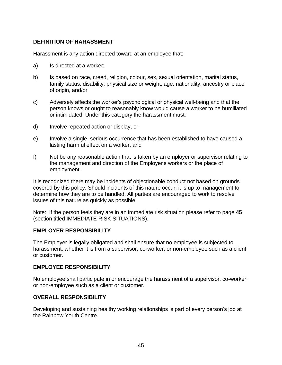## **DEFINITION OF HARASSMENT**

Harassment is any action directed toward at an employee that:

- a) Is directed at a worker;
- b) Is based on race, creed, religion, colour, sex, sexual orientation, marital status, family status, disability, physical size or weight, age, nationality, ancestry or place of origin, and/or
- c) Adversely affects the worker's psychological or physical well-being and that the person knows or ought to reasonably know would cause a worker to be humiliated or intimidated. Under this category the harassment must:
- d) Involve repeated action or display, or
- e) Involve a single, serious occurrence that has been established to have caused a lasting harmful effect on a worker, and
- f) Not be any reasonable action that is taken by an employer or supervisor relating to the management and direction of the Employer's workers or the place of employment.

It is recognized there may be incidents of objectionable conduct not based on grounds covered by this policy. Should incidents of this nature occur, it is up to management to determine how they are to be handled. All parties are encouraged to work to resolve issues of this nature as quickly as possible.

Note: If the person feels they are in an immediate risk situation please refer to page **45**  (section titled IMMEDIATE RISK SITUATIONS).

### **EMPLOYER RESPONSIBILITY**

The Employer is legally obligated and shall ensure that no employee is subjected to harassment, whether it is from a supervisor, co-worker, or non-employee such as a client or customer.

### **EMPLOYEE RESPONSIBILITY**

No employee shall participate in or encourage the harassment of a supervisor, co-worker, or non-employee such as a client or customer.

# **OVERALL RESPONSIBILITY**

Developing and sustaining healthy working relationships is part of every person's job at the Rainbow Youth Centre.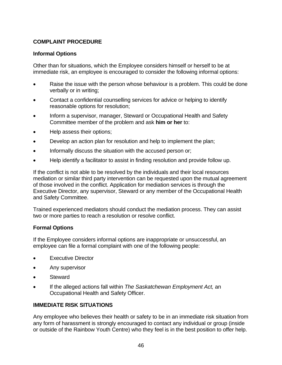# **COMPLAINT PROCEDURE**

## **Informal Options**

Other than for situations, which the Employee considers himself or herself to be at immediate risk, an employee is encouraged to consider the following informal options:

- Raise the issue with the person whose behaviour is a problem. This could be done verbally or in writing;
- Contact a confidential counselling services for advice or helping to identify reasonable options for resolution;
- Inform a supervisor, manager, Steward or Occupational Health and Safety Committee member of the problem and ask **him or her** to:
- Help assess their options;
- Develop an action plan for resolution and help to implement the plan;
- Informally discuss the situation with the accused person or;
- Help identify a facilitator to assist in finding resolution and provide follow up.

If the conflict is not able to be resolved by the individuals and their local resources mediation or similar third party intervention can be requested upon the mutual agreement of those involved in the conflict. Application for mediation services is through the Executive Director, any supervisor, Steward or any member of the Occupational Health and Safety Committee.

Trained experienced mediators should conduct the mediation process. They can assist two or more parties to reach a resolution or resolve conflict.

# **Formal Options**

If the Employee considers informal options are inappropriate or unsuccessful, an employee can file a formal complaint with one of the following people:

- **Executive Director**
- Any supervisor
- **Steward**
- If the alleged actions fall within *The Saskatchewan Employment Act,* an Occupational Health and Safety Officer.

# **IMMEDIATE RISK SITUATIONS**

Any employee who believes their health or safety to be in an immediate risk situation from any form of harassment is strongly encouraged to contact any individual or group (inside or outside of the Rainbow Youth Centre) who they feel is in the best position to offer help.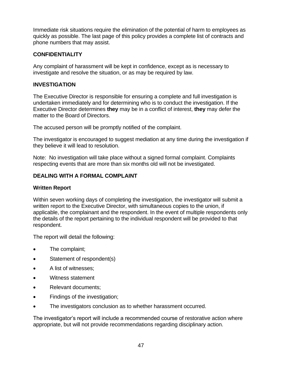Immediate risk situations require the elimination of the potential of harm to employees as quickly as possible. The last page of this policy provides a complete list of contracts and phone numbers that may assist.

# **CONFIDENTIALITY**

Any complaint of harassment will be kept in confidence, except as is necessary to investigate and resolve the situation, or as may be required by law.

# **INVESTIGATION**

The Executive Director is responsible for ensuring a complete and full investigation is undertaken immediately and for determining who is to conduct the investigation. If the Executive Director determines **they** may be in a conflict of interest, **they** may defer the matter to the Board of Directors.

The accused person will be promptly notified of the complaint.

The investigator is encouraged to suggest mediation at any time during the investigation if they believe it will lead to resolution.

Note: No investigation will take place without a signed formal complaint. Complaints respecting events that are more than six months old will not be investigated.

# **DEALING WITH A FORMAL COMPLAINT**

# **Written Report**

Within seven working days of completing the investigation, the investigator will submit a written report to the Executive Director, with simultaneous copies to the union, if applicable, the complainant and the respondent. In the event of multiple respondents only the details of the report pertaining to the individual respondent will be provided to that respondent.

The report will detail the following:

- The complaint;
- Statement of respondent(s)
- A list of witnesses;
- Witness statement
- Relevant documents:
- Findings of the investigation;
- The investigators conclusion as to whether harassment occurred.

The investigator's report will include a recommended course of restorative action where appropriate, but will not provide recommendations regarding disciplinary action.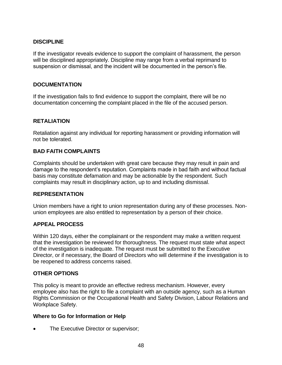## **DISCIPLINE**

If the investigator reveals evidence to support the complaint of harassment, the person will be disciplined appropriately. Discipline may range from a verbal reprimand to suspension or dismissal, and the incident will be documented in the person's file.

## **DOCUMENTATION**

If the investigation fails to find evidence to support the complaint, there will be no documentation concerning the complaint placed in the file of the accused person.

# **RETALIATION**

Retaliation against any individual for reporting harassment or providing information will not be tolerated.

## **BAD FAITH COMPLAINTS**

Complaints should be undertaken with great care because they may result in pain and damage to the respondent's reputation. Complaints made in bad faith and without factual basis may constitute defamation and may be actionable by the respondent. Such complaints may result in disciplinary action, up to and including dismissal.

### **REPRESENTATION**

Union members have a right to union representation during any of these processes. Nonunion employees are also entitled to representation by a person of their choice.

### **APPEAL PROCESS**

Within 120 days, either the complainant or the respondent may make a written request that the investigation be reviewed for thoroughness. The request must state what aspect of the investigation is inadequate. The request must be submitted to the Executive Director, or if necessary, the Board of Directors who will determine if the investigation is to be reopened to address concerns raised.

### **OTHER OPTIONS**

This policy is meant to provide an effective redress mechanism. However, every employee also has the right to file a complaint with an outside agency, such as a Human Rights Commission or the Occupational Health and Safety Division, Labour Relations and Workplace Safety.

### **Where to Go for Information or Help**

The Executive Director or supervisor;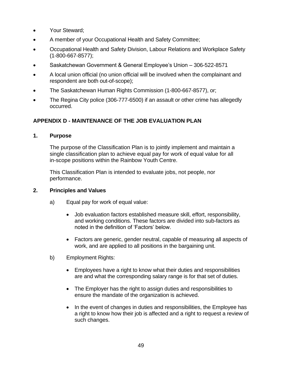- Your Steward;
- A member of your Occupational Health and Safety Committee;
- Occupational Health and Safety Division, Labour Relations and Workplace Safety (1-800-667-8577);
- Saskatchewan Government & General Employee's Union 306-522-8571
- A local union official (no union official will be involved when the complainant and respondent are both out-of-scope);
- The Saskatchewan Human Rights Commission (1-800-667-8577), or;
- The Regina City police (306-777-6500) if an assault or other crime has allegedly occurred.

# **APPENDIX D - MAINTENANCE OF THE JOB EVALUATION PLAN**

# **1. Purpose**

The purpose of the Classification Plan is to jointly implement and maintain a single classification plan to achieve equal pay for work of equal value for all in-scope positions within the Rainbow Youth Centre.

This Classification Plan is intended to evaluate jobs, not people, nor performance.

# **2. Principles and Values**

- a) Equal pay for work of equal value:
	- Job evaluation factors established measure skill, effort, responsibility, and working conditions. These factors are divided into sub-factors as noted in the definition of 'Factors' below.
	- Factors are generic, gender neutral, capable of measuring all aspects of work, and are applied to all positions in the bargaining unit.
- b) Employment Rights:
	- Employees have a right to know what their duties and responsibilities are and what the corresponding salary range is for that set of duties.
	- The Employer has the right to assign duties and responsibilities to ensure the mandate of the organization is achieved.
	- In the event of changes in duties and responsibilities, the Employee has a right to know how their job is affected and a right to request a review of such changes.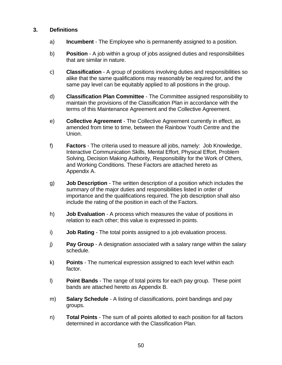## **3. Definitions**

- a) **Incumbent** The Employee who is permanently assigned to a position.
- b) **Position** A job within a group of jobs assigned duties and responsibilities that are similar in nature.
- c) **Classification** A group of positions involving duties and responsibilities so alike that the same qualifications may reasonably be required for, and the same pay level can be equitably applied to all positions in the group.
- d) **Classification Plan Committee** The Committee assigned responsibility to maintain the provisions of the Classification Plan in accordance with the terms of this Maintenance Agreement and the Collective Agreement.
- e) **Collective Agreement** The Collective Agreement currently in effect, as amended from time to time, between the Rainbow Youth Centre and the Union.
- f) **Factors** The criteria used to measure all jobs, namely: Job Knowledge, Interactive Communication Skills, Mental Effort, Physical Effort, Problem Solving, Decision Making Authority, Responsibility for the Work of Others, and Working Conditions. These Factors are attached hereto as Appendix A.
- g) **Job Description** The written description of a position which includes the summary of the major duties and responsibilities listed in order of importance and the qualifications required. The job description shall also include the rating of the position in each of the Factors.
- h) **Job Evaluation** A process which measures the value of positions in relation to each other; this value is expressed in points.
- i) **Job Rating** The total points assigned to a job evaluation process.
- j) **Pay Group** A designation associated with a salary range within the salary schedule.
- k) **Points** The numerical expression assigned to each level within each factor.
- l) **Point Bands** The range of total points for each pay group. These point bands are attached hereto as Appendix B.
- m) **Salary Schedule** A listing of classifications, point bandings and pay groups.
- n) **Total Points** The sum of all points allotted to each position for all factors determined in accordance with the Classification Plan.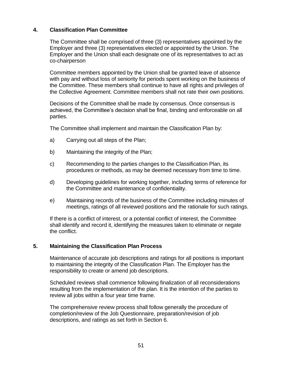# **4. Classification Plan Committee**

The Committee shall be comprised of three (3) representatives appointed by the Employer and three (3) representatives elected or appointed by the Union. The Employer and the Union shall each designate one of its representatives to act as co-chairperson

Committee members appointed by the Union shall be granted leave of absence with pay and without loss of seniority for periods spent working on the business of the Committee. These members shall continue to have all rights and privileges of the Collective Agreement. Committee members shall not rate their own positions.

Decisions of the Committee shall be made by consensus. Once consensus is achieved, the Committee's decision shall be final, binding and enforceable on all parties.

The Committee shall implement and maintain the Classification Plan by:

- a) Carrying out all steps of the Plan;
- b) Maintaining the integrity of the Plan;
- c) Recommending to the parties changes to the Classification Plan, its procedures or methods, as may be deemed necessary from time to time.
- d) Developing guidelines for working together, including terms of reference for the Committee and maintenance of confidentiality.
- e) Maintaining records of the business of the Committee including minutes of meetings, ratings of all reviewed positions and the rationale for such ratings.

If there is a conflict of interest, or a potential conflict of interest, the Committee shall identify and record it, identifying the measures taken to eliminate or negate the conflict.

### **5. Maintaining the Classification Plan Process**

Maintenance of accurate job descriptions and ratings for all positions is important to maintaining the integrity of the Classification Plan. The Employer has the responsibility to create or amend job descriptions.

Scheduled reviews shall commence following finalization of all reconsiderations resulting from the implementation of the plan. It is the intention of the parties to review all jobs within a four year time frame.

The comprehensive review process shall follow generally the procedure of completion/review of the Job Questionnaire, preparation/revision of job descriptions, and ratings as set forth in Section 6.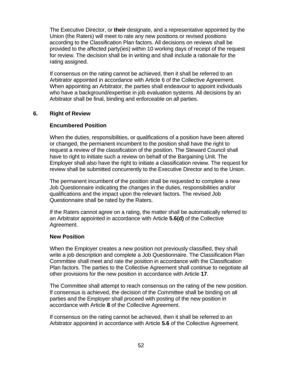The Executive Director, or **their** designate, and a representative appointed by the Union (the Raters) will meet to rate any new positions or revised positions according to the Classification Plan factors. All decisions on reviews shall be provided to the affected party(ies) within 10 working days of receipt of the request for review. The decision shall be in writing and shall include a rationale for the rating assigned.

If consensus on the rating cannot be achieved, then it shall be referred to an Arbitrator appointed in accordance with Article 6 of the Collective Agreement. When appointing an Arbitrator, the parties shall endeavour to appoint individuals who have a background/expertise in job evaluation systems. All decisions by an Arbitrator shall be final, binding and enforceable on all parties.

## **6. Right of Review**

## **Encumbered Position**

When the duties, responsibilities, or qualifications of a position have been altered or changed, the permanent incumbent to the position shall have the right to request a review of the classification of the position. The Steward Council shall have to right to initiate such a review on behalf of the Bargaining Unit. The Employer shall also have the right to initiate a classification review. The request for review shall be submitted concurrently to the Executive Director and to the Union.

The permanent incumbent of the position shall be requested to complete a new Job Questionnaire indicating the changes in the duties, responsibilities and/or qualifications and the impact upon the relevant factors. The revised Job Questionnaire shall be rated by the Raters.

If the Raters cannot agree on a rating, the matter shall be automatically referred to an Arbitrator appointed in accordance with Article **5.6(d)** of the Collective Agreement.

### **New Position**

When the Employer creates a new position not previously classified, they shall write a job description and complete a Job Questionnaire. The Classification Plan Committee shall meet and rate the position in accordance with the Classification Plan factors. The parties to the Collective Agreement shall continue to negotiate all other provisions for the new position in accordance with Article **17**.

The Committee shall attempt to reach consensus on the rating of the new position. If consensus is achieved, the decision of the Committee shall be binding on all parties and the Employer shall proceed with posting of the new position in accordance with Article **8** of the Collective Agreement.

If consensus on the rating cannot be achieved, then it shall be referred to an Arbitrator appointed in accordance with Article **5.6** of the Collective Agreement.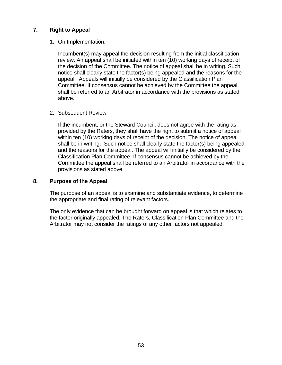## **7. Right to Appeal**

### 1. On Implementation:

Incumbent(s) may appeal the decision resulting from the initial classification review. An appeal shall be initiated within ten (10) working days of receipt of the decision of the Committee. The notice of appeal shall be in writing. Such notice shall clearly state the factor(s) being appealed and the reasons for the appeal. Appeals will initially be considered by the Classification Plan Committee. If consensus cannot be achieved by the Committee the appeal shall be referred to an Arbitrator in accordance with the provisions as stated above.

#### 2. Subsequent Review

If the incumbent, or the Steward Council, does not agree with the rating as provided by the Raters, they shall have the right to submit a notice of appeal within ten (10) working days of receipt of the decision. The notice of appeal shall be in writing. Such notice shall clearly state the factor(s) being appealed and the reasons for the appeal. The appeal will initially be considered by the Classification Plan Committee. If consensus cannot be achieved by the Committee the appeal shall be referred to an Arbitrator in accordance with the provisions as stated above.

#### **8. Purpose of the Appeal**

The purpose of an appeal is to examine and substantiate evidence, to determine the appropriate and final rating of relevant factors.

The only evidence that can be brought forward on appeal is that which relates to the factor originally appealed. The Raters, Classification Plan Committee and the Arbitrator may not consider the ratings of any other factors not appealed.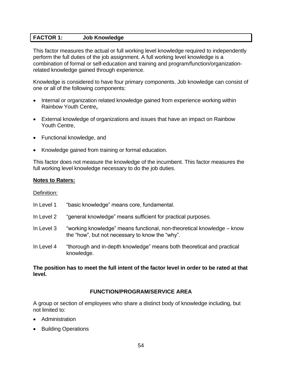# **FACTOR 1: Job Knowledge**

This factor measures the actual or full working level knowledge required to independently perform the full duties of the job assignment. A full working level knowledge is a combination of formal or self-education and training and program/function/organizationrelated knowledge gained through experience.

Knowledge is considered to have four primary components. Job knowledge can consist of one or all of the following components:

- Internal or organization related knowledge gained from experience working within Rainbow Youth Centre**,**
- External knowledge of organizations and issues that have an impact on Rainbow Youth Centre,
- Functional knowledge, and
- Knowledge gained from training or formal education.

This factor does not measure the knowledge of the incumbent. This factor measures the full working level knowledge necessary to do the job duties.

#### **Notes to Raters:**

### Definition:

- In Level 1 "basic knowledge" means core, fundamental.
- In Level 2 "general knowledge" means sufficient for practical purposes.
- In Level 3 "working knowledge" means functional, non-theoretical knowledge know the "how", but not necessary to know the "why".
- In Level 4 "thorough and in-depth knowledge" means both theoretical and practical knowledge.

## **The position has to meet the full intent of the factor level in order to be rated at that level.**

### **FUNCTION/PROGRAM/SERVICE AREA**

A group or section of employees who share a distinct body of knowledge including, but not limited to:

- **Administration**
- Building Operations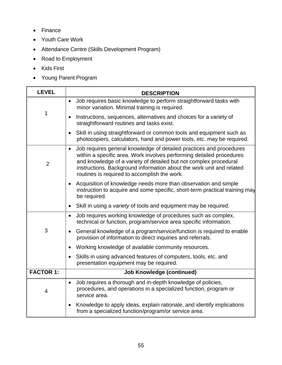- Finance
- Youth Care Work
- Attendance Centre (Skills Development Program)
- Road to Employment
- Kids First
- Young Parent Program

| <b>LEVEL</b>     | <b>DESCRIPTION</b>                                                                                                                                                                                                                                                                                                                                    |  |  |  |  |  |
|------------------|-------------------------------------------------------------------------------------------------------------------------------------------------------------------------------------------------------------------------------------------------------------------------------------------------------------------------------------------------------|--|--|--|--|--|
|                  | Job requires basic knowledge to perform straightforward tasks with<br>$\bullet$<br>minor variation. Minimal training is required.                                                                                                                                                                                                                     |  |  |  |  |  |
| 1                | Instructions, sequences, alternatives and choices for a variety of<br>$\bullet$<br>straightforward routines and tasks exist.                                                                                                                                                                                                                          |  |  |  |  |  |
|                  | Skill in using straightforward or common tools and equipment such as<br>$\bullet$<br>photocopiers, calculators, hand and power tools, etc. may be required.                                                                                                                                                                                           |  |  |  |  |  |
| $\overline{2}$   | Job requires general knowledge of detailed practices and procedures<br>$\bullet$<br>within a specific area. Work involves performing detailed procedures<br>and knowledge of a variety of detailed but not complex procedural<br>instructions. Background information about the work unit and related<br>routines is required to accomplish the work. |  |  |  |  |  |
|                  | Acquisition of knowledge needs more than observation and simple<br>instruction to acquire and some specific, short-term practical training may<br>be required.                                                                                                                                                                                        |  |  |  |  |  |
|                  | Skill in using a variety of tools and equipment may be required.<br>$\bullet$                                                                                                                                                                                                                                                                         |  |  |  |  |  |
|                  | Job requires working knowledge of procedures such as complex,<br>$\bullet$<br>technical or function, program/service area specific information.                                                                                                                                                                                                       |  |  |  |  |  |
| 3                | General knowledge of a program/service/function is required to enable<br>$\bullet$<br>provision of information to direct inquiries and referrals.                                                                                                                                                                                                     |  |  |  |  |  |
|                  | Working knowledge of available community resources.                                                                                                                                                                                                                                                                                                   |  |  |  |  |  |
|                  | Skills in using advanced features of computers, tools, etc. and<br>presentation equipment may be required.                                                                                                                                                                                                                                            |  |  |  |  |  |
| <b>FACTOR 1:</b> | <b>Job Knowledge (continued)</b>                                                                                                                                                                                                                                                                                                                      |  |  |  |  |  |
| $\overline{4}$   | Job requires a thorough and in-depth knowledge of policies,<br>$\bullet$<br>procedures, and operations in a specialized function, program or<br>service area.                                                                                                                                                                                         |  |  |  |  |  |
|                  | Knowledge to apply ideas, explain rationale, and identify implications<br>$\bullet$<br>from a specialized function/program/or service area.                                                                                                                                                                                                           |  |  |  |  |  |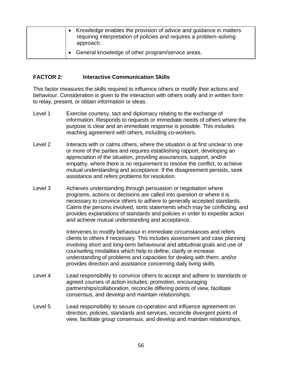| • Knowledge enables the provision of advice and quidance in matters<br>requiring interpretation of policies and requires a problem-solving<br>approach. |
|---------------------------------------------------------------------------------------------------------------------------------------------------------|
| General knowledge of other program/service areas.                                                                                                       |

## **FACTOR 2: Interactive Communication Skills**

This factor measures the skills required to influence others or modify their actions and behaviour. Consideration is given to the interaction with others orally and in written form to relay, present, or obtain information or ideas.

- Level 1 Exercise courtesy, tact and diplomacy relating to the exchange of information. Responds to requests or immediate needs of others where the purpose is clear and an immediate response is possible. This includes reaching agreement with others, including co-workers.
- Level 2 Interacts with or calms others, where the situation is at first unclear to one or more of the parties and requires establishing rapport, developing an appreciation of the situation, providing assurances, support, and/or empathy, where there is no requirement to resolve the conflict, to achieve mutual understanding and acceptance. If the disagreement persists, seek assistance and refers problems for resolution.
- Level 3 Achieves understanding through persuasion or negotiation where programs, actions or decisions are called into question or where it is necessary to convince others to adhere to generally accepted standards. Calms the persons involved, sorts statements which may be conflicting, and provides explanations of standards and policies in order to expedite action and achieve mutual understanding and acceptance.

Intervenes to modify behaviour in immediate circumstances and refers clients to others if necessary. This includes assessment and case planning involving short and long-term behavioural and attitudinal goals and use of counselling modalities which help to define, clarify or increase understanding of problems and capacities for dealing with them; and/or provides direction and assistance concerning daily living skills.

- Level 4 Lead responsibility to convince others to accept and adhere to standards or agreed courses of action includes; promotion, encouraging partnerships/collaboration, reconcile differing points of view, facilitate consensus, and develop and maintain relationships.
- Level 5 Lead responsibility to secure co-operation and influence agreement on direction, policies, standards and services, reconcile divergent points of view, facilitate group consensus, and develop and maintain relationships.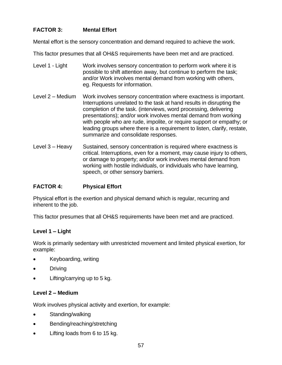# **FACTOR 3: Mental Effort**

Mental effort is the sensory concentration and demand required to achieve the work.

This factor presumes that all OH&S requirements have been met and are practiced.

- Level 1 Light Work involves sensory concentration to perform work where it is possible to shift attention away, but continue to perform the task; and/or Work involves mental demand from working with others, eg. Requests for information.
- Level 2 Medium Work involves sensory concentration where exactness is important. Interruptions unrelated to the task at hand results in disrupting the completion of the task. (interviews, word processing, delivering presentations); and/or work involves mental demand from working with people who are rude, impolite, or require support or empathy; or leading groups where there is a requirement to listen, clarify, restate, summarize and consolidate responses.
- Level 3 Heavy Sustained, sensory concentration is required where exactness is critical. Interruptions, even for a moment, may cause injury to others, or damage to property; and/or work involves mental demand from working with hostile individuals, or individuals who have learning, speech, or other sensory barriers.

### **FACTOR 4: Physical Effort**

Physical effort is the exertion and physical demand which is regular, recurring and inherent to the job.

This factor presumes that all OH&S requirements have been met and are practiced.

### **Level 1 – Light**

Work is primarily sedentary with unrestricted movement and limited physical exertion, for example:

- Keyboarding, writing
- **Driving**
- Lifting/carrying up to 5 kg.

### **Level 2 – Medium**

Work involves physical activity and exertion, for example:

- Standing/walking
- Bending/reaching/stretching
- Lifting loads from 6 to 15 kg.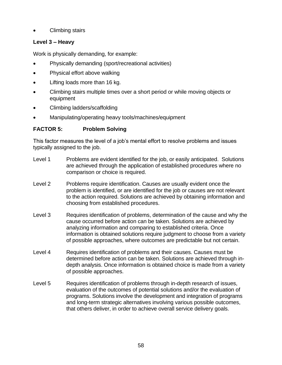• Climbing stairs

# **Level 3 – Heavy**

Work is physically demanding, for example:

- Physically demanding (sport/recreational activities)
- Physical effort above walking
- Lifting loads more than 16 kg.
- Climbing stairs multiple times over a short period or while moving objects or equipment
- Climbing ladders/scaffolding
- Manipulating/operating heavy tools/machines/equipment

# **FACTOR 5: Problem Solving**

This factor measures the level of a job's mental effort to resolve problems and issues typically assigned to the job.

- Level 1 Problems are evident identified for the job, or easily anticipated. Solutions are achieved through the application of established procedures where no comparison or choice is required.
- Level 2 Problems require identification. Causes are usually evident once the problem is identified, or are identified for the job or causes are not relevant to the action required. Solutions are achieved by obtaining information and choosing from established procedures.
- Level 3 Requires identification of problems, determination of the cause and why the cause occurred before action can be taken. Solutions are achieved by analyzing information and comparing to established criteria. Once information is obtained solutions require judgment to choose from a variety of possible approaches, where outcomes are predictable but not certain.
- Level 4 Requires identification of problems and their causes. Causes must be determined before action can be taken. Solutions are achieved through indepth analysis. Once information is obtained choice is made from a variety of possible approaches.
- Level 5 Requires identification of problems through in-depth research of issues, evaluation of the outcomes of potential solutions and/or the evaluation of programs. Solutions involve the development and integration of programs and long-term strategic alternatives involving various possible outcomes, that others deliver, in order to achieve overall service delivery goals.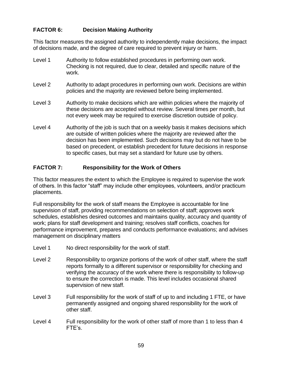# **FACTOR 6: Decision Making Authority**

This factor measures the assigned authority to independently make decisions, the impact of decisions made, and the degree of care required to prevent injury or harm.

- Level 1 Authority to follow established procedures in performing own work. Checking is not required, due to clear, detailed and specific nature of the work.
- Level 2 Authority to adapt procedures in performing own work. Decisions are within policies and the majority are reviewed before being implemented.
- Level 3 Authority to make decisions which are within policies where the majority of these decisions are accepted without review. Several times per month, but not every week may be required to exercise discretion outside of policy.
- Level 4 Authority of the job is such that on a weekly basis it makes decisions which are outside of written policies where the majority are reviewed after the decision has been implemented. Such decisions may but do not have to be based on precedent, or establish precedent for future decisions in response to specific cases, but may set a standard for future use by others.

# **FACTOR 7: Responsibility for the Work of Others**

This factor measures the extent to which the Employee is required to supervise the work of others. In this factor "staff" may include other employees, volunteers, and/or practicum placements.

Full responsibility for the work of staff means the Employee is accountable for line supervision of staff, providing recommendations on selection of staff; approves work schedules, establishes desired outcomes and maintains quality, accuracy and quantity of work; plans for staff development and training; resolves staff conflicts, coaches for performance improvement, prepares and conducts performance evaluations; and advises management on disciplinary matters

- Level 1 No direct responsibility for the work of staff.
- Level 2 Responsibility to organize portions of the work of other staff, where the staff reports formally to a different supervisor or responsibility for checking and verifying the accuracy of the work where there is responsibility to follow-up to ensure the correction is made. This level includes occasional shared supervision of new staff.
- Level 3 Full responsibility for the work of staff of up to and including 1 FTE, or have permanently assigned and ongoing shared responsibility for the work of other staff.
- Level 4 Full responsibility for the work of other staff of more than 1 to less than 4 FTE's.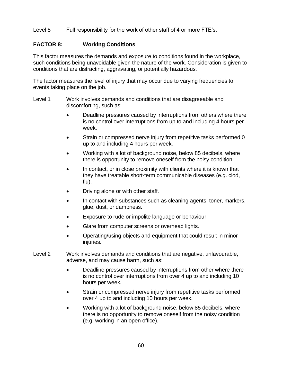### Level 5 Full responsibility for the work of other staff of 4 or more FTE's.

#### **FACTOR 8: Working Conditions**

This factor measures the demands and exposure to conditions found in the workplace, such conditions being unavoidable given the nature of the work. Consideration is given to conditions that are distracting, aggravating, or potentially hazardous.

The factor measures the level of injury that may occur due to varying frequencies to events taking place on the job.

- Level 1 Work involves demands and conditions that are disagreeable and discomforting, such as:
	- Deadline pressures caused by interruptions from others where there is no control over interruptions from up to and including 4 hours per week.
	- Strain or compressed nerve injury from repetitive tasks performed 0 up to and including 4 hours per week.
	- Working with a lot of background noise, below 85 decibels, where there is opportunity to remove oneself from the noisy condition.
	- In contact, or in close proximity with clients where it is known that they have treatable short-term communicable diseases (e.g. clod, flu).
	- Driving alone or with other staff.
	- In contact with substances such as cleaning agents, toner, markers, glue, dust, or dampness.
	- Exposure to rude or impolite language or behaviour.
	- Glare from computer screens or overhead lights.
	- Operating/using objects and equipment that could result in minor injuries.
- Level 2 Work involves demands and conditions that are negative, unfavourable, adverse, and may cause harm, such as:
	- Deadline pressures caused by interruptions from other where there is no control over interruptions from over 4 up to and including 10 hours per week.
	- Strain or compressed nerve injury from repetitive tasks performed over 4 up to and including 10 hours per week.
	- Working with a lot of background noise, below 85 decibels, where there is no opportunity to remove oneself from the noisy condition (e.g. working in an open office).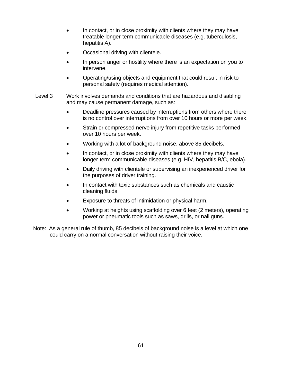- In contact, or in close proximity with clients where they may have treatable longer-term communicable diseases (e.g. tuberculosis, hepatitis A).
- Occasional driving with clientele.
- In person anger or hostility where there is an expectation on you to intervene.
- Operating/using objects and equipment that could result in risk to personal safety (requires medical attention).
- Level 3 Work involves demands and conditions that are hazardous and disabling and may cause permanent damage, such as:
	- Deadline pressures caused by interruptions from others where there is no control over interruptions from over 10 hours or more per week.
	- Strain or compressed nerve injury from repetitive tasks performed over 10 hours per week.
	- Working with a lot of background noise, above 85 decibels.
	- In contact, or in close proximity with clients where they may have longer-term communicable diseases (e.g. HIV, hepatitis B/C, ebola).
	- Daily driving with clientele or supervising an inexperienced driver for the purposes of driver training.
	- In contact with toxic substances such as chemicals and caustic cleaning fluids.
	- Exposure to threats of intimidation or physical harm.
	- Working at heights using scaffolding over 6 feet (2 meters), operating power or pneumatic tools such as saws, drills, or nail guns.
- Note: As a general rule of thumb, 85 decibels of background noise is a level at which one could carry on a normal conversation without raising their voice.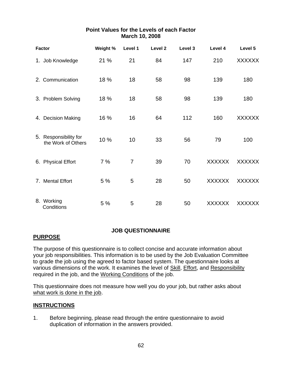| <b>Factor</b>                               | Weight % | Level 1        | Level <sub>2</sub> | Level 3 | Level 4       | Level 5       |
|---------------------------------------------|----------|----------------|--------------------|---------|---------------|---------------|
| 1. Job Knowledge                            | 21 %     | 21             | 84                 | 147     | 210           | <b>XXXXXX</b> |
| 2. Communication                            | 18 %     | 18             | 58                 | 98      | 139           | 180           |
| 3. Problem Solving                          | 18 %     | 18             | 58                 | 98      | 139           | 180           |
| 4. Decision Making                          | 16 %     | 16             | 64                 | 112     | 160           | <b>XXXXXX</b> |
| 5. Responsibility for<br>the Work of Others | 10 %     | 10             | 33                 | 56      | 79            | 100           |
| 6. Physical Effort                          | 7%       | $\overline{7}$ | 39                 | 70      | <b>XXXXXX</b> | <b>XXXXXX</b> |
| 7. Mental Effort                            | 5 %      | 5              | 28                 | 50      | <b>XXXXXX</b> | <b>XXXXXX</b> |
| 8. Working<br>Conditions                    | 5 %      | 5              | 28                 | 50      | <b>XXXXXX</b> | <b>XXXXXX</b> |

# **Point Values for the Levels of each Factor March 10, 2008**

# **JOB QUESTIONNAIRE**

# **PURPOSE**

The purpose of this questionnaire is to collect concise and accurate information about your job responsibilities. This information is to be used by the Job Evaluation Committee to grade the job using the agreed to factor based system. The questionnaire looks at various dimensions of the work. It examines the level of Skill, Effort, and Responsibility required in the job, and the Working Conditions of the job.

This questionnaire does not measure how well you do your job, but rather asks about what work is done in the job.

# **INSTRUCTIONS**

1. Before beginning, please read through the entire questionnaire to avoid duplication of information in the answers provided.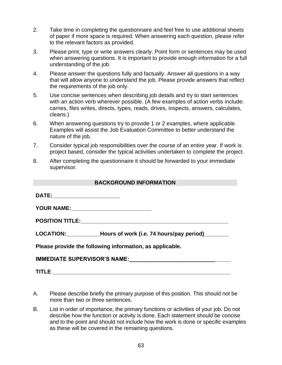- 2. Take time in completing the questionnaire and feel free to use additional sheets of paper if more space is required. When answering each question, please refer to the relevant factors as provided.
- 3. Please print, type or write answers clearly. Point form or sentences may be used when answering questions. It is important to provide enough information for a full understanding of the job.
- 4. Please answer the questions fully and factually. Answer all questions in a way that will allow anyone to understand the job. Please provide answers that reflect the requirements of the job only.
- 5. Use concise sentences when describing job details and try to start sentences with an action verb wherever possible. (A few examples of action verbs include: carries, files writes, directs, types, reads, drives, inspects, answers, calculates, cleans.)
- 6. When answering questions try to provide 1 or 2 examples, where applicable. Examples will assist the Job Evaluation Committee to better understand the nature of the job.
- 7. Consider typical job responsibilities over the course of an entire year. If work is project based, consider the typical activities undertaken to complete the project.
- 8. After completing the questionnaire it should be forwarded to your immediate supervisor.

## **BACKGROUND INFORMATION**

| DATE:_________________________ |                                                                            |
|--------------------------------|----------------------------------------------------------------------------|
|                                |                                                                            |
|                                |                                                                            |
|                                | LOCATION: _______________Hours of work (i.e. 74 hours/pay period)_________ |
|                                | Please provide the following information, as applicable.                   |
|                                | IMMEDIATE SUPERVISOR'S NAME: __________________________________            |
| <b>TITLE</b>                   |                                                                            |

- A. Please describe briefly the primary purpose of this position. This should not be more than two or three sentences.
- B. List in order of importance, the primary functions or activities of your job. Do not describe how the function or activity is done. Each statement should be concise and to the point and should not include how the work is done or specific examples as these will be covered in the remaining questions.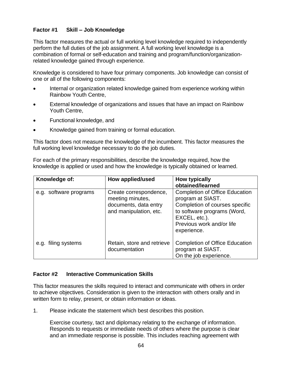# **Factor #1 Skill – Job Knowledge**

This factor measures the actual or full working level knowledge required to independently perform the full duties of the job assignment. A full working level knowledge is a combination of formal or self-education and training and program/function/organizationrelated knowledge gained through experience.

Knowledge is considered to have four primary components. Job knowledge can consist of one or all of the following components:

- Internal or organization related knowledge gained from experience working within Rainbow Youth Centre,
- External knowledge of organizations and issues that have an impact on Rainbow Youth Centre,
- Functional knowledge, and
- Knowledge gained from training or formal education.

This factor does not measure the knowledge of the incumbent. This factor measures the full working level knowledge necessary to do the job duties.

For each of the primary responsibilities, describe the knowledge required, how the knowledge is applied or used and how the knowledge is typically obtained or learned.

| Knowledge of:          | How applied/used                                                                              | <b>How typically</b><br>obtained/learned                                                                                                                                                 |
|------------------------|-----------------------------------------------------------------------------------------------|------------------------------------------------------------------------------------------------------------------------------------------------------------------------------------------|
| e.g. software programs | Create correspondence,<br>meeting minutes,<br>documents, data entry<br>and manipulation, etc. | <b>Completion of Office Education</b><br>program at SIAST.<br>Completion of courses specific<br>to software programs (Word,<br>EXCEL, etc.).<br>Previous work and/or life<br>experience. |
| e.g. filing systems    | Retain, store and retrieve<br>documentation                                                   | <b>Completion of Office Education</b><br>program at SIAST.<br>On the job experience.                                                                                                     |

### **Factor #2 Interactive Communication Skills**

This factor measures the skills required to interact and communicate with others in order to achieve objectives. Consideration is given to the interaction with others orally and in written form to relay, present, or obtain information or ideas.

1. Please indicate the statement which best describes this position.

Exercise courtesy, tact and diplomacy relating to the exchange of information. Responds to requests or immediate needs of others where the purpose is clear and an immediate response is possible. This includes reaching agreement with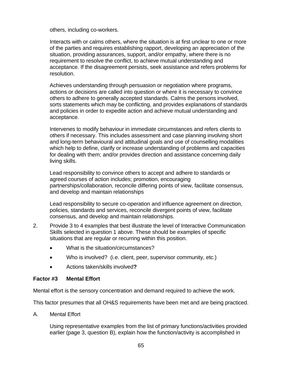others, including co-workers.

Interacts with or calms others, where the situation is at first unclear to one or more of the parties and requires establishing rapport, developing an appreciation of the situation, providing assurances, support, and/or empathy, where there is no requirement to resolve the conflict, to achieve mutual understanding and acceptance. If the disagreement persists, seek assistance and refers problems for resolution.

Achieves understanding through persuasion or negotiation where programs, actions or decisions are called into question or where it is necessary to convince others to adhere to generally accepted standards. Calms the persons involved, sorts statements which may be conflicting, and provides explanations of standards and policies in order to expedite action and achieve mutual understanding and acceptance.

Intervenes to modify behaviour in immediate circumstances and refers clients to others if necessary. This includes assessment and case planning involving short and long-term behavioural and attitudinal goals and use of counselling modalities which help to define, clarify or increase understanding of problems and capacities for dealing with them; and/or provides direction and assistance concerning daily living skills.

Lead responsibility to convince others to accept and adhere to standards or agreed courses of action includes; promotion, encouraging partnerships/collaboration, reconcile differing points of view, facilitate consensus, and develop and maintain relationships

Lead responsibility to secure co-operation and influence agreement on direction, policies, standards and services, reconcile divergent points of view, facilitate consensus, and develop and maintain relationships.

- 2. Provide 3 to 4 examples that best illustrate the level of Interactive Communication Skills selected in question 1 above. These should be examples of specific situations that are regular or recurring within this position.
	- What is the situation/circumstances?
	- Who is involved? (i.e. client, peer, supervisor community, etc.)
	- Actions taken/skills involved**?**

### **Factor #3 Mental Effort**

Mental effort is the sensory concentration and demand required to achieve the work.

This factor presumes that all OH&S requirements have been met and are being practiced.

A. Mental Effort

Using representative examples from the list of primary functions/activities provided earlier (page 3, question B), explain how the function/activity is accomplished in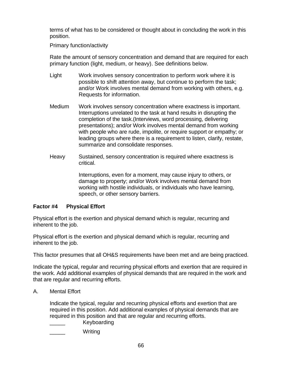terms of what has to be considered or thought about in concluding the work in this position.

Primary function/activity

Rate the amount of sensory concentration and demand that are required for each primary function (light, medium, or heavy). See definitions below.

- Light Work involves sensory concentration to perform work where it is possible to shift attention away, but continue to perform the task; and/or Work involves mental demand from working with others, e.g. Requests for information.
- Medium Work involves sensory concentration where exactness is important. Interruptions unrelated to the task at hand results in disrupting the completion of the task.(Interviews, word processing, delivering presentations); and/or Work involves mental demand from working with people who are rude, impolite, or require support or empathy; or leading groups where there is a requirement to listen, clarify, restate, summarize and consolidate responses.
- Heavy Sustained, sensory concentration is required where exactness is critical.

Interruptions, even for a moment, may cause injury to others, or damage to property; and/or Work involves mental demand from working with hostile individuals, or individuals who have learning, speech, or other sensory barriers.

# **Factor #4 Physical Effort**

Physical effort is the exertion and physical demand which is regular, recurring and inherent to the job.

Physical effort is the exertion and physical demand which is regular, recurring and inherent to the job.

This factor presumes that all OH&S requirements have been met and are being practiced.

Indicate the typical, regular and recurring physical efforts and exertion that are required in the work. Add additional examples of physical demands that are required in the work and that are regular and recurring efforts.

A. Mental Effort

Indicate the typical, regular and recurring physical efforts and exertion that are required in this position. Add additional examples of physical demands that are required in this position and that are regular and recurring efforts.

- \_\_\_\_\_ Keyboarding
- Writing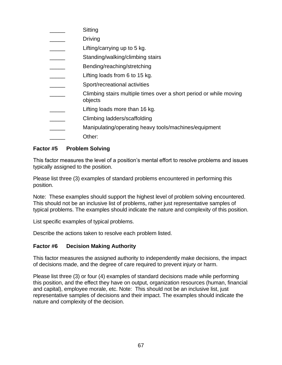| Sitting                                                                       |
|-------------------------------------------------------------------------------|
| <b>Driving</b>                                                                |
| Lifting/carrying up to 5 kg.                                                  |
| Standing/walking/climbing stairs                                              |
| Bending/reaching/stretching                                                   |
| Lifting loads from 6 to 15 kg.                                                |
| Sport/recreational activities                                                 |
| Climbing stairs multiple times over a short period or while moving<br>objects |
| Lifting loads more than 16 kg.                                                |
| Climbing ladders/scaffolding                                                  |
| Manipulating/operating heavy tools/machines/equipment                         |
| Other:                                                                        |
|                                                                               |

# **Factor #5 Problem Solving**

This factor measures the level of a position's mental effort to resolve problems and issues typically assigned to the position.

Please list three (3) examples of standard problems encountered in performing this position.

Note: These examples should support the highest level of problem solving encountered. This should not be an inclusive list of problems, rather just representative samples of typical problems. The examples should indicate the nature and complexity of this position.

List specific examples of typical problems.

Describe the actions taken to resolve each problem listed.

### **Factor #6 Decision Making Authority**

This factor measures the assigned authority to independently make decisions, the impact of decisions made, and the degree of care required to prevent injury or harm.

Please list three (3) or four (4) examples of standard decisions made while performing this position, and the effect they have on output, organization resources (human, financial and capital), employee morale, etc. Note: This should not be an inclusive list, just representative samples of decisions and their impact. The examples should indicate the nature and complexity of the decision.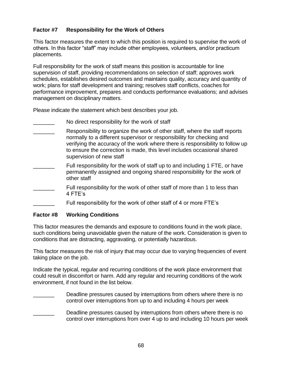# **Factor #7 Responsibility for the Work of Others**

This factor measures the extent to which this position is required to supervise the work of others. In this factor "staff" may include other employees, volunteers, and/or practicum placements.

Full responsibility for the work of staff means this position is accountable for line supervision of staff, providing recommendations on selection of staff; approves work schedules, establishes desired outcomes and maintains quality, accuracy and quantity of work; plans for staff development and training; resolves staff conflicts, coaches for performance improvement, prepares and conducts performance evaluations; and advises management on disciplinary matters.

Please indicate the statement which best describes your job.

- No direct responsibility for the work of staff
- Responsibility to organize the work of other staff, where the staff reports normally to a different supervisor or responsibility for checking and verifying the accuracy of the work where there is responsibility to follow up to ensure the correction is made, this level includes occasional shared supervision of new staff
- Full responsibility for the work of staff up to and including 1 FTE, or have permanently assigned and ongoing shared responsibility for the work of other staff
- Full responsibility for the work of other staff of more than 1 to less than 4 FTE's
	- Full responsibility for the work of other staff of 4 or more FTE's

# **Factor #8 Working Conditions**

This factor measures the demands and exposure to conditions found in the work place, such conditions being unavoidable given the nature of the work. Consideration is given to conditions that are distracting, aggravating, or potentially hazardous.

This factor measures the risk of injury that may occur due to varying frequencies of event taking place on the job.

Indicate the typical, regular and recurring conditions of the work place environment that could result in discomfort or harm. Add any regular and recurring conditions of the work environment, if not found in the list below.

- Deadline pressures caused by interruptions from others where there is no control over interruptions from up to and including 4 hours per week
- Deadline pressures caused by interruptions from others where there is no control over interruptions from over 4 up to and including 10 hours per week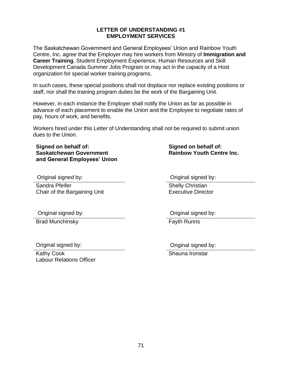71

#### **LETTER OF UNDERSTANDING #1 EMPLOYMENT SERVICES**

The Saskatchewan Government and General Employees' Union and Rainbow Youth Centre, Inc. agree that the Employer may hire workers from Ministry of **Immigration and Career Training**, Student Employment Experience, Human Resources and Skill Development Canada Summer Jobs Program or may act in the capacity of a Host organization for special worker training programs.

In such cases, these special positions shall not displace nor replace existing positions or staff, nor shall the training program duties be the work of the Bargaining Unit.

However, in each instance the Employer shall notify the Union as far as possible in advance of each placement to enable the Union and the Employee to negotiate rates of pay, hours of work, and benefits.

Workers hired under this Letter of Understanding shall not be required to submit union dues to the Union.

### **Signed on behalf of: Saskatchewan Government and General Employees' Union**

Sandra Pfeifer Chair of the Bargaining Unit

Original signed by:

Brad Munchinsky **Fayth Runns** 

Original signed by:

Kathy Cook Labour Relations Officer

Original signed by: Original signed by:

**Signed on behalf of:**

**Rainbow Youth Centre Inc.**

Shelly Christian Executive Director

Original signed by:

Shauna Ironstar Original signed by: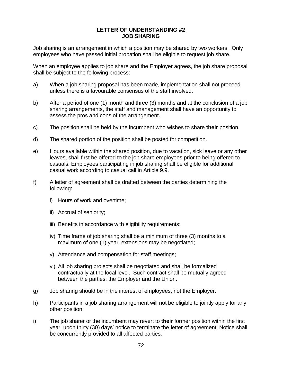#### **LETTER OF UNDERSTANDING #2 JOB SHARING**

Job sharing is an arrangement in which a position may be shared by two workers. Only employees who have passed initial probation shall be eligible to request job share.

When an employee applies to job share and the Employer agrees, the job share proposal shall be subject to the following process:

- a) When a job sharing proposal has been made, implementation shall not proceed unless there is a favourable consensus of the staff involved.
- b) After a period of one (1) month and three (3) months and at the conclusion of a job sharing arrangements, the staff and management shall have an opportunity to assess the pros and cons of the arrangement.
- c) The position shall be held by the incumbent who wishes to share **their** position.
- d) The shared portion of the position shall be posted for competition.
- e) Hours available within the shared position, due to vacation, sick leave or any other leaves, shall first be offered to the job share employees prior to being offered to casuals. Employees participating in job sharing shall be eligible for additional casual work according to casual call in Article 9.9.
- f) A letter of agreement shall be drafted between the parties determining the following:
	- i) Hours of work and overtime;
	- ii) Accrual of seniority;
	- iii) Benefits in accordance with eligibility requirements;
	- iv) Time frame of job sharing shall be a minimum of three (3) months to a maximum of one (1) year, extensions may be negotiated;
	- v) Attendance and compensation for staff meetings;
	- vi) All job sharing projects shall be negotiated and shall be formalized contractually at the local level. Such contract shall be mutually agreed between the parties, the Employer and the Union.
- g) Job sharing should be in the interest of employees, not the Employer.
- h) Participants in a job sharing arrangement will not be eligible to jointly apply for any other position.
- i) The job sharer or the incumbent may revert to **their** former position within the first year, upon thirty (30) days' notice to terminate the **l**etter of agreement. Notice shall be concurrently provided to all affected parties.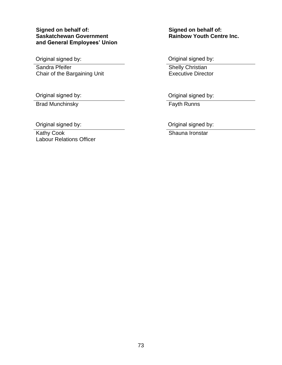# **Signed on behalf of: Saskatchewan Government and General Employees' Union**

Original signed by:

Sandra Pfeifer Chair of the Bargaining Unit

Original signed by:

Brad Munchinsky **Fayth Runns** 

Original signed by:

Kathy Cook Labour Relations Officer **Signed on behalf of: Rainbow Youth Centre Inc.**

Original signed by:

Shelly Christian Executive Director

Original signed by:

Original signed by:

Shauna Ironstar